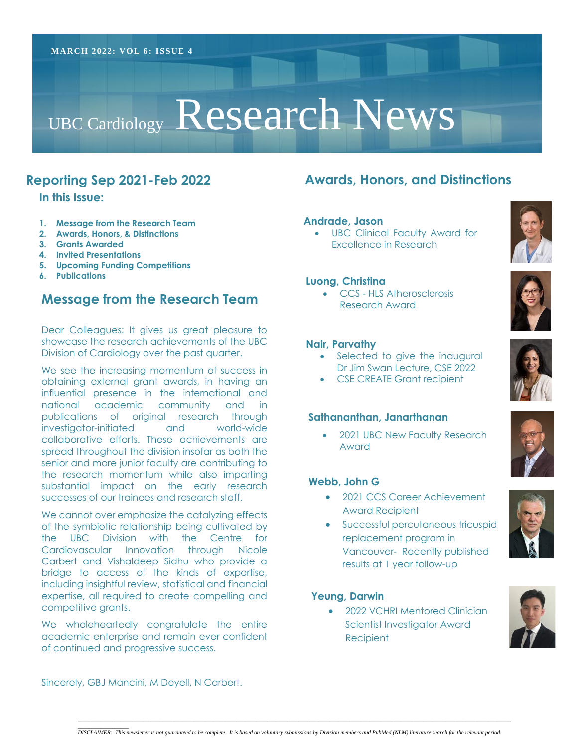# UBC Cardiology Research News

# **Reporting Sep 2021-Feb 2022**

**In this Issue:**

- **1. Message from the Research Team**
- **2. Awards, Honors, & Distinctions**
- **3. Grants Awarded**
- **4. Invited Presentations**
- **5. Upcoming Funding Competitions**
- **6. Publications**

# **Message from the Research Team**

Dear Colleagues: It gives us great pleasure to showcase the research achievements of the UBC Division of Cardiology over the past quarter.

 obtaining external grant awards, in having an  collaborative efforts. These achievements are successes of our trainees and research staff. We see the increasing momentum of success in influential presence in the international and national academic community and in publications of original research through investigator-initiated and world-wide spread throughout the division insofar as both the senior and more junior faculty are contributing to the research momentum while also imparting substantial impact on the early research

 Cardiovascular Innovation through Nicole bridge to access of the kinds of expertise, We cannot over emphasize the catalyzing effects of the symbiotic relationship being cultivated by the UBC Division with the Centre for Carbert and Vishaldeep Sidhu who provide a including insightful review, statistical and financial expertise, all required to create compelling and competitive grants.

We wholeheartedly congratulate the entire academic enterprise and remain ever confident of continued and progressive success.

# **Awards, Honors, and Distinctions**

#### **Andrade, Jason**

• UBC Clinical Faculty Award for Excellence in Research

#### **Luong, Christina**

• CCS - HLS Atherosclerosis Research Award

#### **Nair, Parvathy**

- Selected to give the inaugural Dr Jim Swan Lecture, CSE 2022
- CSE CREATE Grant recipient

#### **Sathananthan, Janarthanan**

• 2021 UBC New Faculty Research Award

## **Webb, John G**

- 2021 CCS Career Achievement Award Recipient
- Successful percutaneous tricuspid replacement program in Vancouver- Recently published results at 1 year follow-up

#### **Yeung, Darwin**

• 2022 VCHRI Mentored Clinician Scientist Investigator Award Recipient









Sincerely, GBJ Mancini, M Deyell, N Carbert.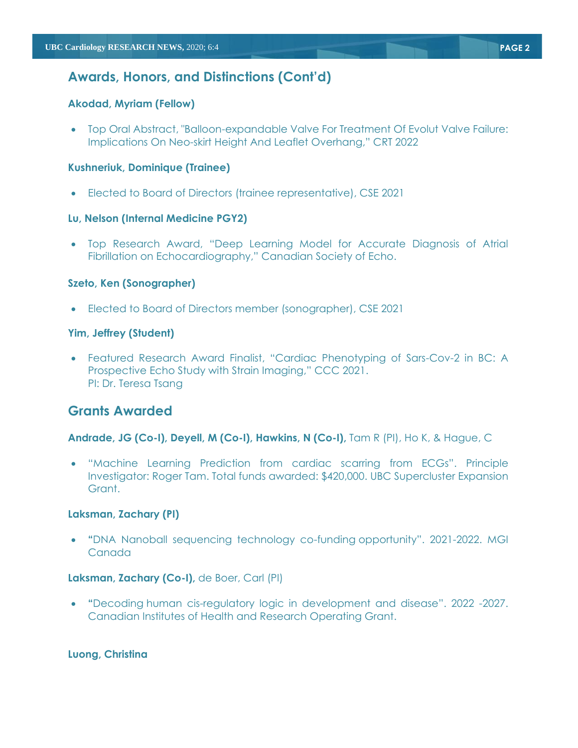# **Awards, Honors, and Distinctions (Cont'd)**

## **Akodad, Myriam (Fellow)**

• Top Oral Abstract, "Balloon-expandable Valve For Treatment Of Evolut Valve Failure: Implications On Neo-skirt Height And Leaflet Overhang," CRT 2022

#### **Kushneriuk, Dominique (Trainee)**

• Elected to Board of Directors (trainee representative), CSE 2021

#### **Lu, Nelson (Internal Medicine PGY2)**

• Top Research Award, "Deep Learning Model for Accurate Diagnosis of Atrial Fibrillation on Echocardiography," Canadian Society of Echo.

#### **Szeto, Ken (Sonographer)**

• Elected to Board of Directors member (sonographer), CSE 2021

## **Yim, Jeffrey (Student)**

• Featured Research Award Finalist, "Cardiac Phenotyping of Sars-Cov-2 in BC: A Prospective Echo Study with Strain Imaging," CCC 2021. PI: Dr. Teresa Tsang

# **Grants Awarded**

#### **Andrade, JG (Co-I), Deyell, M (Co-I), Hawkins, N (Co-I),** Tam R (PI), Ho K, & Hague, C

• "Machine Learning Prediction from cardiac scarring from ECGs". Principle Investigator: Roger Tam. Total funds awarded: \$420,000. UBC Supercluster Expansion Grant.

#### **Laksman, Zachary (PI)**

• **"**DNA Nanoball sequencing technology co-funding opportunity". 2021-2022. MGI Canada

#### **Laksman, Zachary (Co-I),** de Boer, Carl (PI)

• **"**Decoding human cis-regulatory logic in development and disease". 2022 -2027. Canadian Institutes of Health and Research Operating Grant.

#### **Luong, Christina**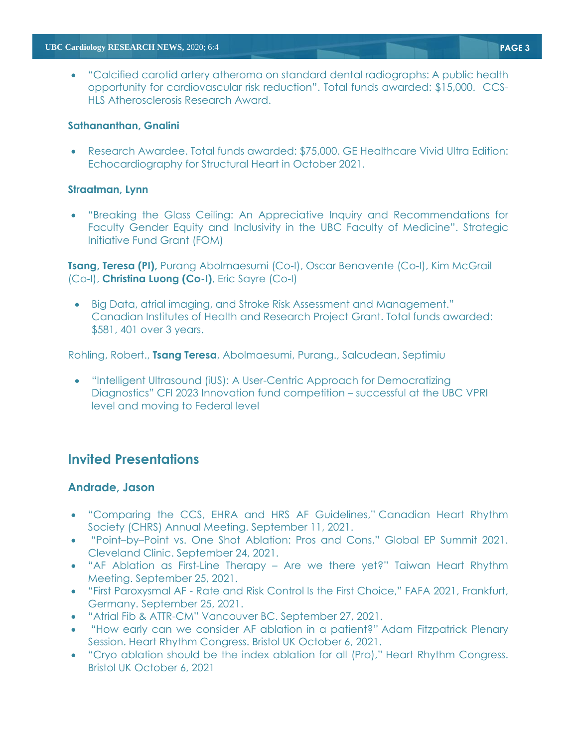• "Calcified carotid artery atheroma on standard dental radiographs: A public health opportunity for cardiovascular risk reduction". Total funds awarded: \$15,000. CCS-HLS Atherosclerosis Research Award.

#### **Sathananthan, Gnalini**

• Research Awardee. Total funds awarded: \$75,000. GE Healthcare Vivid Ultra Edition: Echocardiography for Structural Heart in October 2021.

## **Straatman, Lynn**

• "Breaking the Glass Ceiling: An Appreciative Inquiry and Recommendations for Faculty Gender Equity and Inclusivity in the UBC Faculty of Medicine". Strategic Initiative Fund Grant (FOM)

**Tsang, Teresa (PI),** Purang Abolmaesumi (Co-I), Oscar Benavente (Co-I), Kim McGrail (Co-I), **Christina Luong (Co-I)**, Eric Sayre (Co-I)

• Big Data, atrial imaging, and Stroke Risk Assessment and Management." Canadian Institutes of Health and Research Project Grant. Total funds awarded: \$581, 401 over 3 years.

Rohling, Robert., **Tsang Teresa**, Abolmaesumi, Purang., Salcudean, Septimiu

• "Intelligent Ultrasound (iUS): A User-Centric Approach for Democratizing Diagnostics" CFI 2023 Innovation fund competition – successful at the UBC VPRI level and moving to Federal level

# **Invited Presentations**

## **Andrade, Jason**

- "Comparing the CCS, EHRA and HRS AF Guidelines," Canadian Heart Rhythm Society (CHRS) Annual Meeting. September 11, 2021.
- "Point–by–Point vs. One Shot Ablation: Pros and Cons," Global EP Summit 2021. Cleveland Clinic. September 24, 2021.
- "AF Ablation as First-Line Therapy Are we there yet?" Taiwan Heart Rhythm Meeting. September 25, 2021.
- "First Paroxysmal AF Rate and Risk Control Is the First Choice," FAFA 2021, Frankfurt, Germany. September 25, 2021.
- "Atrial Fib & ATTR-CM" Vancouver BC. September 27, 2021.
- "How early can we consider AF ablation in a patient?" Adam Fitzpatrick Plenary Session. Heart Rhythm Congress. Bristol UK October 6, 2021.
- "Cryo ablation should be the index ablation for all (Pro)," Heart Rhythm Congress. Bristol UK October 6, 2021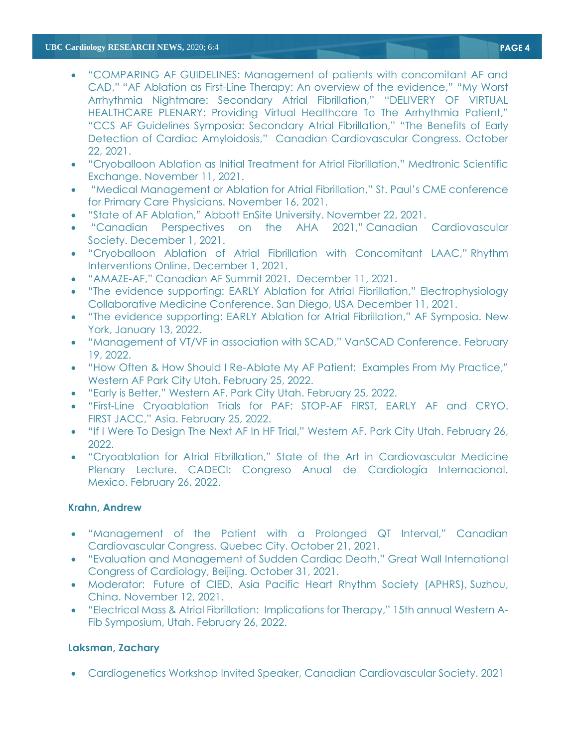#### **UBC Cardiology RESEARCH NEWS,** 2020; 6:4 **PAGE 4**

- "COMPARING AF GUIDELINES: Management of patients with concomitant AF and CAD," "AF Ablation as First-Line Therapy: An overview of the evidence," "My Worst Arrhythmia Nightmare: Secondary Atrial Fibrillation," "DELIVERY OF VIRTUAL HEALTHCARE PLENARY: Providing Virtual Healthcare To The Arrhythmia Patient," "CCS AF Guidelines Symposia: Secondary Atrial Fibrillation," "The Benefits of Early Detection of Cardiac Amyloidosis," Canadian Cardiovascular Congress. October 22, 2021.
- "Cryoballoon Ablation as Initial Treatment for Atrial Fibrillation," Medtronic Scientific Exchange. November 11, 2021.
- "Medical Management or Ablation for Atrial Fibrillation," St. Paul's CME conference for Primary Care Physicians. November 16, 2021.
- "State of AF Ablation," Abbott EnSite University. November 22, 2021.
- "Canadian Perspectives on the AHA 2021," Canadian Cardiovascular Society. December 1, 2021.
- "Cryoballoon Ablation of Atrial Fibrillation with Concomitant LAAC," Rhythm Interventions Online. December 1, 2021.
- "AMAZE-AF," Canadian AF Summit 2021. December 11, 2021.
- "The evidence supporting: EARLY Ablation for Atrial Fibrillation," Electrophysiology Collaborative Medicine Conference. San Diego, USA December 11, 2021.
- "The evidence supporting: EARLY Ablation for Atrial Fibrillation," AF Symposia. New York, January 13, 2022.
- "Management of VT/VF in association with SCAD," VanSCAD Conference. February 19, 2022.
- "How Often & How Should I Re-Ablate My AF Patient: Examples From My Practice," Western AF Park City Utah. February 25, 2022.
- "Early is Better," Western AF. Park City Utah. February 25, 2022.
- "First-Line Cryoablation Trials for PAF: STOP-AF FIRST, EARLY AF and CRYO. FIRST JACC," Asia. February 25, 2022.
- "If I Were To Design The Next AF In HF Trial," Western AF. Park City Utah. February 26, 2022.
- "Cryoablation for Atrial Fibrillation," State of the Art in Cardiovascular Medicine Plenary Lecture. CADECI: Congreso Anual de Cardiología Internacional. Mexico. February 26, 2022.

## **Krahn, Andrew**

- "Management of the Patient with a Prolonged QT Interval," Canadian Cardiovascular Congress. Quebec City. October 21, 2021.
- "Evaluation and Management of Sudden Cardiac Death," Great Wall International Congress of Cardiology, Beijing. October 31, 2021.
- Moderator: Future of CIED, Asia Pacific Heart Rhythm Society (APHRS), Suzhou, China. November 12, 2021.
- "Electrical Mass & Atrial Fibrillation: Implications for Therapy," 15th annual Western A-Fib Symposium, Utah. February 26, 2022.

# **Laksman, Zachary**

• Cardiogenetics Workshop Invited Speaker, Canadian Cardiovascular Society. 2021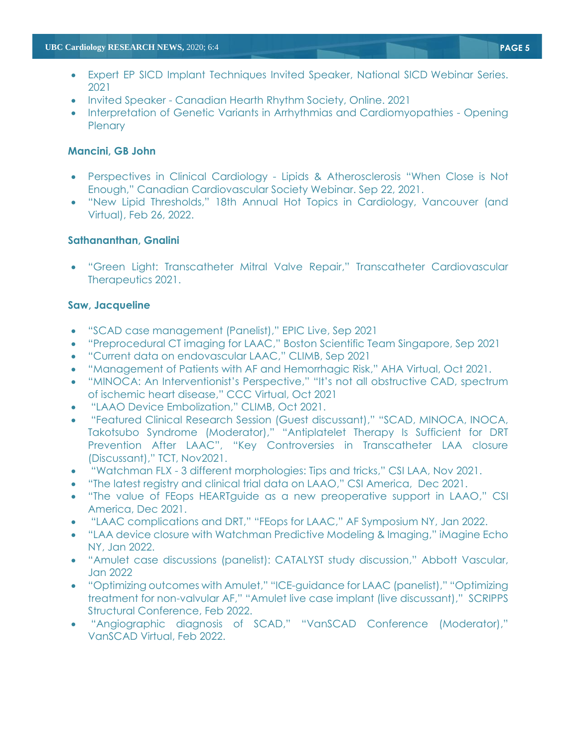- Expert EP SICD Implant Techniques Invited Speaker, National SICD Webinar Series. 2021
- Invited Speaker Canadian Hearth Rhythm Society, Online. 2021
- Interpretation of Genetic Variants in Arrhythmias and Cardiomyopathies Opening **Plenary**

#### **Mancini, GB John**

- Perspectives in Clinical Cardiology Lipids & Atherosclerosis "When Close is Not Enough," Canadian Cardiovascular Society Webinar. Sep 22, 2021.
- "New Lipid Thresholds," 18th Annual Hot Topics in Cardiology, Vancouver (and Virtual), Feb 26, 2022.

## **Sathananthan, Gnalini**

• "Green Light: Transcatheter Mitral Valve Repair," Transcatheter Cardiovascular Therapeutics 2021.

### **Saw, Jacqueline**

- "SCAD case management (Panelist)," EPIC Live, Sep 2021
- "Preprocedural CT imaging for LAAC," Boston Scientific Team Singapore, Sep 2021
- "Current data on endovascular LAAC," CLIMB, Sep 2021
- "Management of Patients with AF and Hemorrhagic Risk," AHA Virtual, Oct 2021.
- "MINOCA: An Interventionist's Perspective," "It's not all obstructive CAD, spectrum of ischemic heart disease," CCC Virtual, Oct 2021
- "LAAO Device Embolization," CLIMB, Oct 2021.
- "Featured Clinical Research Session (Guest discussant)," "SCAD, MINOCA, INOCA, Takotsubo Syndrome (Moderator)," "Antiplatelet Therapy Is Sufficient for DRT Prevention After LAAC", "Key Controversies in Transcatheter LAA closure (Discussant)," TCT, Nov2021.
- "Watchman FLX 3 different morphologies: Tips and tricks," CSI LAA, Nov 2021.
- "The latest registry and clinical trial data on LAAO," CSI America, Dec 2021.
- "The value of FEops HEARTguide as a new preoperative support in LAAO," CSI America, Dec 2021.
- "LAAC complications and DRT," "FEops for LAAC," AF Symposium NY, Jan 2022.
- "LAA device closure with Watchman Predictive Modeling & Imaging," iMagine Echo NY, Jan 2022.
- "Amulet case discussions (panelist): CATALYST study discussion," Abbott Vascular, Jan 2022
- "Optimizing outcomes with Amulet," "ICE-guidance for LAAC (panelist)," "Optimizing treatment for non-valvular AF," "Amulet live case implant (live discussant)," SCRIPPS Structural Conference, Feb 2022.
- "Angiographic diagnosis of SCAD," "VanSCAD Conference (Moderator)," VanSCAD Virtual, Feb 2022.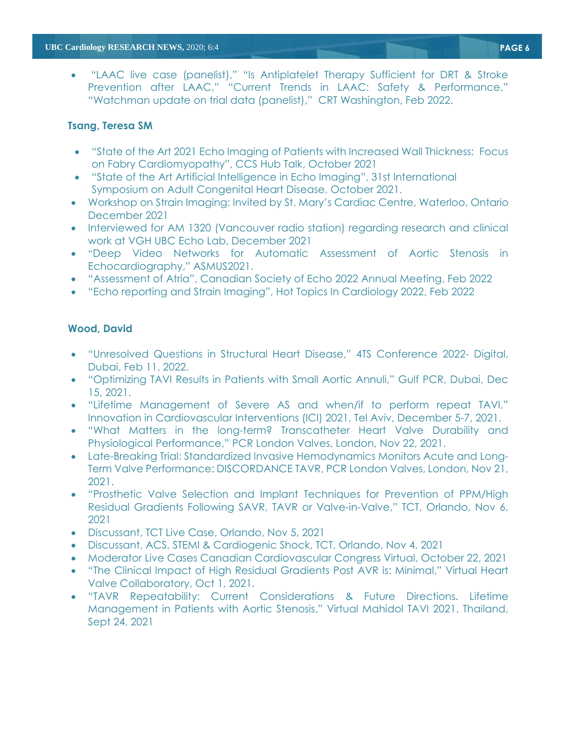• "LAAC live case (panelist)," "Is Antiplatelet Therapy Sufficient for DRT & Stroke Prevention after LAAC," "Current Trends in LAAC: Safety & Performance," "Watchman update on trial data (panelist)," CRT Washington, Feb 2022.

# **Tsang, Teresa SM**

- "State of the Art 2021 Echo Imaging of Patients with Increased Wall Thickness: Focus on Fabry Cardiomyopathy", CCS Hub Talk, October 2021
- "State of the Art Artificial Intelligence in Echo Imaging", 31st International Symposium on Adult Congenital Heart Disease, October 2021.
- Workshop on Strain Imaging: Invited by St. Mary's Cardiac Centre, Waterloo, Ontario December 2021
- Interviewed for AM 1320 (Vancouver radio station) regarding research and clinical work at VGH UBC Echo Lab, December 2021
- "Deep Video Networks for Automatic Assessment of Aortic Stenosis in Echocardiography," ASMUS2021.
- "Assessment of Atria", Canadian Society of Echo 2022 Annual Meeting, Feb 2022
- "Echo reporting and Strain Imaging", Hot Topics In Cardiology 2022, Feb 2022

# **Wood, David**

- "Unresolved Questions in Structural Heart Disease," 4TS Conference 2022- Digital, Dubai, Feb 11, 2022.
- "Optimizing TAVI Results in Patients with Small Aortic Annuli," Gulf PCR, Dubai, Dec 15, 2021.
- "Lifetime Management of Severe AS and when/if to perform repeat TAVI," Innovation in Cardiovascular Interventions (ICI) 2021, Tel Aviv, December 5-7, 2021.
- "What Matters in the long-term? Transcatheter Heart Valve Durability and Physiological Performance," PCR London Valves, London, Nov 22, 2021.
- Late-Breaking Trial: Standardized Invasive Hemodynamics Monitors Acute and Long-Term Valve Performance: DISCORDANCE TAVR, PCR London Valves, London, Nov 21, 2021.
- "Prosthetic Valve Selection and Implant Techniques for Prevention of PPM/High Residual Gradients Following SAVR, TAVR or Valve-in-Valve," TCT, Orlando, Nov 6, 2021
- Discussant, TCT Live Case, Orlando, Nov 5, 2021
- Discussant, ACS, STEMI & Cardiogenic Shock, TCT, Orlando, Nov 4, 2021
- Moderator Live Cases Canadian Cardiovascular Congress Virtual, October 22, 2021
- "The Clinical Impact of High Residual Gradients Post AVR is: Minimal," Virtual Heart Valve Collaboratory, Oct 1, 2021.
- "TAVR Repeatability: Current Considerations & Future Directions. Lifetime Management in Patients with Aortic Stenosis," Virtual Mahidol TAVI 2021, Thailand, Sept 24, 2021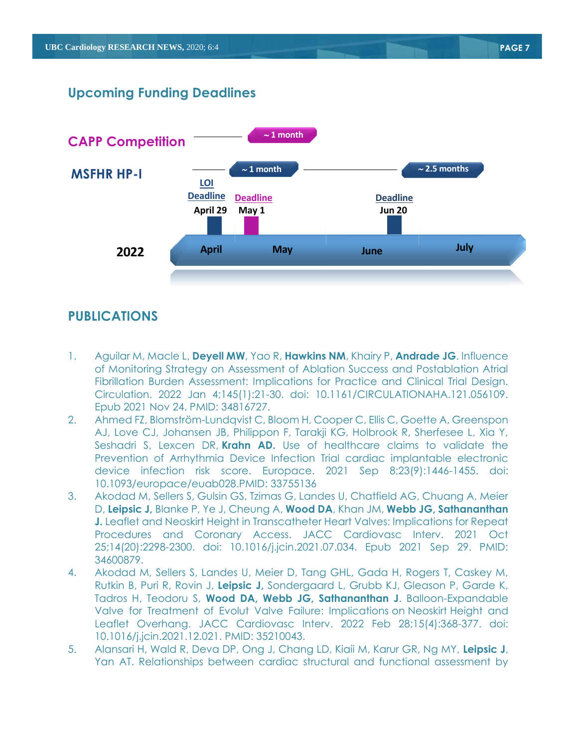# **Upcoming Funding Deadlines**



# **PUBLICATIONS**

- 1. Aguilar M, Macle L, **Deyell MW**, Yao R, **Hawkins NM**, Khairy P, **Andrade JG**. Influence of Monitoring Strategy on Assessment of Ablation Success and Postablation Atrial Fibrillation Burden Assessment: Implications for Practice and Clinical Trial Design. Circulation. 2022 Jan 4;145(1):21-30. doi: 10.1161/CIRCULATIONAHA.121.056109. Epub 2021 Nov 24. PMID: 34816727.
- 2. Ahmed FZ, Blomström-Lundqvist C, Bloom H, Cooper C, Ellis C, Goette A, Greenspon AJ, Love CJ, Johansen JB, Philippon F, Tarakji KG, Holbrook R, Sherfesee L, Xia Y, Seshadri S, Lexcen DR, **Krahn AD.** [Use of healthcare claims to validate the](https://pubmed.ncbi.nlm.nih.gov/33755136/)  [Prevention of Arrhythmia Device Infection Trial cardiac implantable electronic](https://pubmed.ncbi.nlm.nih.gov/33755136/)  [device infection risk score.](https://pubmed.ncbi.nlm.nih.gov/33755136/) Europace. 2021 Sep 8;23(9):1446-1455. doi: 10.1093/europace/euab028.PMID: 33755136
- 3. Akodad M, Sellers S, Gulsin GS, Tzimas G, Landes U, Chatfield AG, Chuang A, Meier D, **Leipsic J,** Blanke P, Ye J, Cheung A, **Wood DA**, Khan JM, **Webb JG, Sathananthan J.** Leaflet and Neoskirt Height in Transcatheter Heart Valves: Implications for Repeat Procedures and Coronary Access. JACC Cardiovasc Interv. 2021 Oct 25;14(20):2298-2300. doi: 10.1016/j.jcin.2021.07.034. Epub 2021 Sep 29. PMID: 34600879.
- 4. Akodad M, Sellers S, Landes U, Meier D, Tang GHL, Gada H, Rogers T, Caskey M, Rutkin B, Puri R, Rovin J, **Leipsic J,** Sondergaard L, Grubb KJ, Gleason P, Garde K, Tadros H, Teodoru S, **Wood DA, Webb JG, Sathananthan J**. Balloon-Expandable Valve for Treatment of Evolut Valve Failure: Implications on Neoskirt Height and Leaflet Overhang. JACC Cardiovasc Interv. 2022 Feb 28;15(4):368-377. doi: 10.1016/j.jcin.2021.12.021. PMID: 35210043.
- 5. Alansari H, Wald R, Deva DP, Ong J, Chang LD, Kiaii M, Karur GR, Ng MY, **Leipsic J**, Yan AT. Relationships between cardiac structural and functional assessment by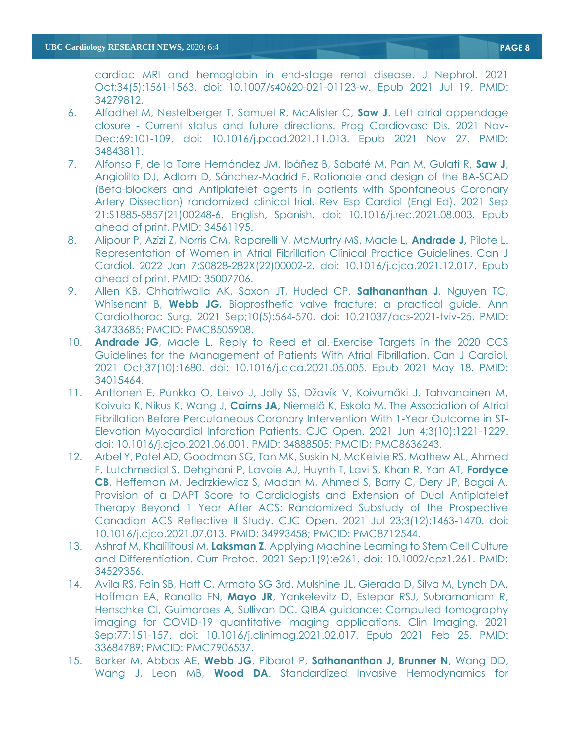cardiac MRI and hemoglobin in end-stage renal disease. J Nephrol. 2021 Oct;34(5):1561-1563. doi: 10.1007/s40620-021-01123-w. Epub 2021 Jul 19. PMID: 34279812.

- 6. Alfadhel M, Nestelberger T, Samuel R, McAlister C, **Saw J**. Left atrial appendage closure - Current status and future directions. Prog Cardiovasc Dis. 2021 Nov-Dec;69:101-109. doi: 10.1016/j.pcad.2021.11.013. Epub 2021 Nov 27. PMID: 34843811.
- 7. Alfonso F, de la Torre Hernández JM, Ibáñez B, Sabaté M, Pan M, Gulati R, **Saw J**, Angiolillo DJ, Adlam D, Sánchez-Madrid F. Rationale and design of the BA-SCAD (Beta-blockers and Antiplatelet agents in patients with Spontaneous Coronary Artery Dissection) randomized clinical trial. Rev Esp Cardiol (Engl Ed). 2021 Sep 21:S1885-5857(21)00248-6. English, Spanish. doi: 10.1016/j.rec.2021.08.003. Epub ahead of print. PMID: 34561195.
- 8. Alipour P, Azizi Z, Norris CM, Raparelli V, McMurtry MS, Macle L, **Andrade J,** Pilote L. Representation of Women in Atrial Fibrillation Clinical Practice Guidelines. Can J Cardiol. 2022 Jan 7:S0828-282X(22)00002-2. doi: 10.1016/j.cjca.2021.12.017. Epub ahead of print. PMID: 35007706.
- 9. Allen KB, Chhatriwalla AK, Saxon JT, Huded CP, **Sathananthan J**, Nguyen TC, Whisenant B, **Webb JG.** Bioprosthetic valve fracture: a practical guide. Ann Cardiothorac Surg. 2021 Sep;10(5):564-570. doi: 10.21037/acs-2021-tviv-25. PMID: 34733685; PMCID: PMC8505908.
- 10. **Andrade JG**, Macle L. Reply to Reed et al.-Exercise Targets in the 2020 CCS Guidelines for the Management of Patients With Atrial Fibrillation. Can J Cardiol. 2021 Oct;37(10):1680. doi: 10.1016/j.cjca.2021.05.005. Epub 2021 May 18. PMID: 34015464.
- 11. Anttonen E, Punkka O, Leivo J, Jolly SS, Džavík V, Koivumäki J, Tahvanainen M, Koivula K, Nikus K, Wang J, **Cairns JA,** Niemelä K, Eskola M. The Association of Atrial Fibrillation Before Percutaneous Coronary Intervention With 1-Year Outcome in ST-Elevation Myocardial Infarction Patients. CJC Open. 2021 Jun 4;3(10):1221-1229. doi: 10.1016/j.cjco.2021.06.001. PMID: 34888505; PMCID: PMC8636243.
- 12. Arbel Y, Patel AD, Goodman SG, Tan MK, Suskin N, McKelvie RS, Mathew AL, Ahmed F, Lutchmedial S, Dehghani P, Lavoie AJ, Huynh T, Lavi S, Khan R, Yan AT, **Fordyce CB**, Heffernan M, Jedrzkiewicz S, Madan M, Ahmed S, Barry C, Dery JP, Bagai A. Provision of a DAPT Score to Cardiologists and Extension of Dual Antiplatelet Therapy Beyond 1 Year After ACS: Randomized Substudy of the Prospective Canadian ACS Reflective II Study. CJC Open. 2021 Jul 23;3(12):1463-1470. doi: 10.1016/j.cjco.2021.07.013. PMID: 34993458; PMCID: PMC8712544.
- 13. Ashraf M, Khalilitousi M, **Laksman Z**. Applying Machine Learning to Stem Cell Culture and Differentiation. Curr Protoc. 2021 Sep;1(9):e261. doi: 10.1002/cpz1.261. PMID: 34529356.
- 14. Avila RS, Fain SB, Hatt C, Armato SG 3rd, Mulshine JL, Gierada D, Silva M, Lynch DA, Hoffman EA, Ranallo FN, **Mayo JR**, Yankelevitz D, Estepar RSJ, Subramaniam R, Henschke CI, Guimaraes A, Sullivan DC. QIBA guidance: Computed tomography imaging for COVID-19 quantitative imaging applications. Clin Imaging. 2021 Sep;77:151-157. doi: 10.1016/j.clinimag.2021.02.017. Epub 2021 Feb 25. PMID: 33684789; PMCID: PMC7906537.
- 15. Barker M, Abbas AE, **Webb JG**, Pibarot P, **Sathananthan J, Brunner N**, Wang DD, Wang J, Leon MB, **Wood DA**. Standardized Invasive Hemodynamics for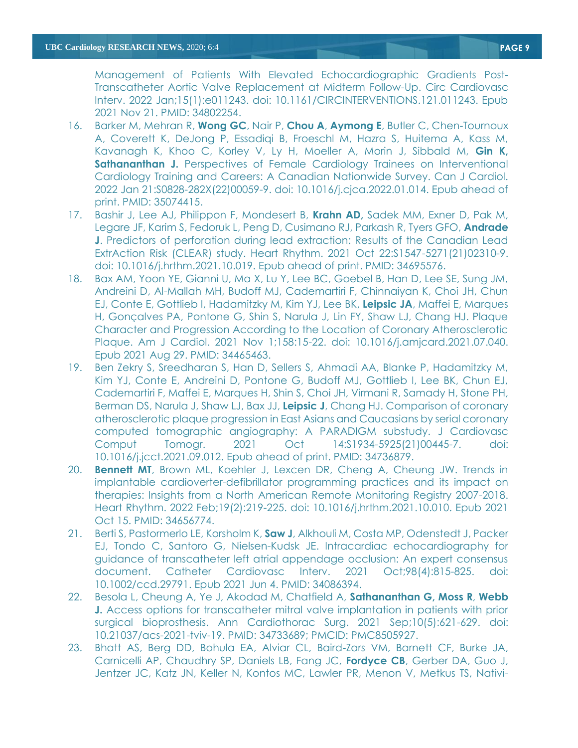Management of Patients With Elevated Echocardiographic Gradients Post-Transcatheter Aortic Valve Replacement at Midterm Follow-Up. Circ Cardiovasc Interv. 2022 Jan;15(1):e011243. doi: 10.1161/CIRCINTERVENTIONS.121.011243. Epub 2021 Nov 21. PMID: 34802254.

- 16. Barker M, Mehran R, **Wong GC**, Nair P, **Chou A**, **Aymong E**, Butler C, Chen-Tournoux A, Coverett K, DeJong P, Essadiqi B, Froeschl M, Hazra S, Huitema A, Kass M, Kavanagh K, Khoo C, Korley V, Ly H, Moeller A, Morin J, Sibbald M, **Gin K, Sathananthan J.** Perspectives of Female Cardiology Trainees on Interventional Cardiology Training and Careers: A Canadian Nationwide Survey. Can J Cardiol. 2022 Jan 21:S0828-282X(22)00059-9. doi: 10.1016/j.cjca.2022.01.014. Epub ahead of print. PMID: 35074415.
- 17. Bashir J, Lee AJ, Philippon F, Mondesert B, **Krahn AD,** Sadek MM, Exner D, Pak M, Legare JF, Karim S, Fedoruk L, Peng D, Cusimano RJ, Parkash R, Tyers GFO, **Andrade J**. Predictors of perforation during lead extraction: Results of the Canadian Lead ExtrAction Risk (CLEAR) study. Heart Rhythm. 2021 Oct 22:S1547-5271(21)02310-9. doi: 10.1016/j.hrthm.2021.10.019. Epub ahead of print. PMID: 34695576.
- 18. Bax AM, Yoon YE, Gianni U, Ma X, Lu Y, Lee BC, Goebel B, Han D, Lee SE, Sung JM, Andreini D, Al-Mallah MH, Budoff MJ, Cademartiri F, Chinnaiyan K, Choi JH, Chun EJ, Conte E, Gottlieb I, Hadamitzky M, Kim YJ, Lee BK, **Leipsic JA**, Maffei E, Marques H, Gonçalves PA, Pontone G, Shin S, Narula J, Lin FY, Shaw LJ, Chang HJ. Plaque Character and Progression According to the Location of Coronary Atherosclerotic Plaque. Am J Cardiol. 2021 Nov 1;158:15-22. doi: 10.1016/j.amjcard.2021.07.040. Epub 2021 Aug 29. PMID: 34465463.
- 19. Ben Zekry S, Sreedharan S, Han D, Sellers S, Ahmadi AA, Blanke P, Hadamitzky M, Kim YJ, Conte E, Andreini D, Pontone G, Budoff MJ, Gottlieb I, Lee BK, Chun EJ, Cademartiri F, Maffei E, Marques H, Shin S, Choi JH, Virmani R, Samady H, Stone PH, Berman DS, Narula J, Shaw LJ, Bax JJ, **Leipsic J**, Chang HJ. Comparison of coronary atherosclerotic plaque progression in East Asians and Caucasians by serial coronary computed tomographic angiography: A PARADIGM substudy. J Cardiovasc Comput Tomogr. 2021 Oct 14:S1934-5925(21)00445-7. doi: 10.1016/j.jcct.2021.09.012. Epub ahead of print. PMID: 34736879.
- 20. **Bennett MT**, Brown ML, Koehler J, Lexcen DR, Cheng A, Cheung JW. Trends in implantable cardioverter-defibrillator programming practices and its impact on therapies: Insights from a North American Remote Monitoring Registry 2007-2018. Heart Rhythm. 2022 Feb;19(2):219-225. doi: 10.1016/j.hrthm.2021.10.010. Epub 2021 Oct 15. PMID: 34656774.
- 21. Berti S, Pastormerlo LE, Korsholm K, **Saw J**, Alkhouli M, Costa MP, Odenstedt J, Packer EJ, Tondo C, Santoro G, Nielsen-Kudsk JE. Intracardiac echocardiography for guidance of transcatheter left atrial appendage occlusion: An expert consensus document. Catheter Cardiovasc Interv. 2021 Oct;98(4):815-825. doi: 10.1002/ccd.29791. Epub 2021 Jun 4. PMID: 34086394.
- 22. Besola L, Cheung A, Ye J, Akodad M, Chatfield A, **Sathananthan G, Moss R**, **Webb J.** Access options for transcatheter mitral valve implantation in patients with prior surgical bioprosthesis. Ann Cardiothorac Surg. 2021 Sep;10(5):621-629. doi: 10.21037/acs-2021-tviv-19. PMID: 34733689; PMCID: PMC8505927.
- 23. Bhatt AS, Berg DD, Bohula EA, Alviar CL, Baird-Zars VM, Barnett CF, Burke JA, Carnicelli AP, Chaudhry SP, Daniels LB, Fang JC, **Fordyce CB**, Gerber DA, Guo J, Jentzer JC, Katz JN, Keller N, Kontos MC, Lawler PR, Menon V, Metkus TS, Nativi-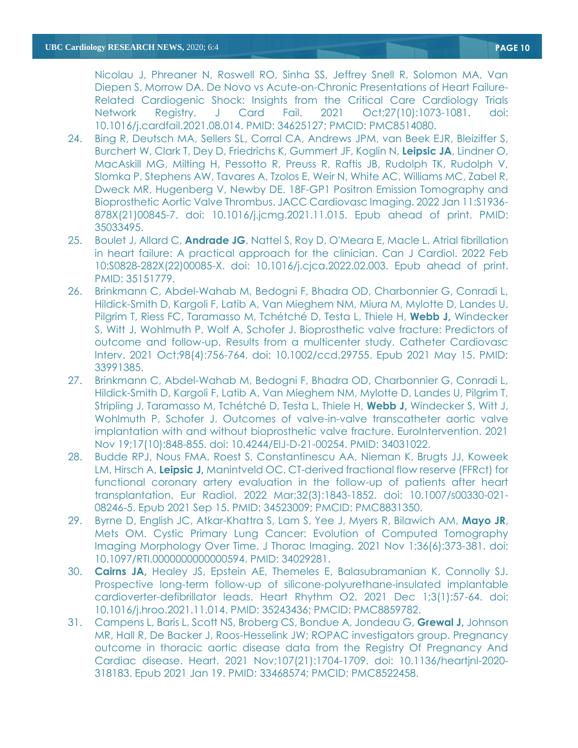Nicolau J, Phreaner N, Roswell RO, Sinha SS, Jeffrey Snell R, Solomon MA, Van Diepen S, Morrow DA. De Novo vs Acute-on-Chronic Presentations of Heart Failure-Related Cardiogenic Shock: Insights from the Critical Care Cardiology Trials Network Registry. J Card Fail. 2021 Oct;27(10):1073-1081. doi: 10.1016/j.cardfail.2021.08.014. PMID: 34625127; PMCID: PMC8514080.

- 24. Bing R, Deutsch MA, Sellers SL, Corral CA, Andrews JPM, van Beek EJR, Bleiziffer S, Burchert W, Clark T, Dey D, Friedrichs K, Gummert JF, Koglin N, **Leipsic JA**, Lindner O, MacAskill MG, Milting H, Pessotto R, Preuss R, Raftis JB, Rudolph TK, Rudolph V, Slomka P, Stephens AW, Tavares A, Tzolos E, Weir N, White AC, Williams MC, Zabel R, Dweck MR, Hugenberg V, Newby DE. 18F-GP1 Positron Emission Tomography and Bioprosthetic Aortic Valve Thrombus. JACC Cardiovasc Imaging. 2022 Jan 11:S1936- 878X(21)00845-7. doi: 10.1016/j.jcmg.2021.11.015. Epub ahead of print. PMID: 35033495.
- 25. Boulet J, Allard C, **Andrade JG**, Nattel S, Roy D, O'Meara E, Macle L. Atrial fibrillation in heart failure: A practical approach for the clinician. Can J Cardiol. 2022 Feb 10:S0828-282X(22)00085-X. doi: 10.1016/j.cjca.2022.02.003. Epub ahead of print. PMID: 35151779.
- 26. Brinkmann C, Abdel-Wahab M, Bedogni F, Bhadra OD, Charbonnier G, Conradi L, Hildick-Smith D, Kargoli F, Latib A, Van Mieghem NM, Miura M, Mylotte D, Landes U, Pilgrim T, Riess FC, Taramasso M, Tchétché D, Testa L, Thiele H, **Webb J,** Windecker S, Witt J, Wohlmuth P, Wolf A, Schofer J. Bioprosthetic valve fracture: Predictors of outcome and follow-up. Results from a multicenter study. Catheter Cardiovasc Interv. 2021 Oct;98(4):756-764. doi: 10.1002/ccd.29755. Epub 2021 May 15. PMID: 33991385.
- 27. Brinkmann C, Abdel-Wahab M, Bedogni F, Bhadra OD, Charbonnier G, Conradi L, Hildick-Smith D, Kargoli F, Latib A, Van Mieghem NM, Mylotte D, Landes U, Pilgrim T, Stripling J, Taramasso M, Tchétché D, Testa L, Thiele H, **Webb J,** Windecker S, Witt J, Wohlmuth P, Schofer J. Outcomes of valve-in-valve transcatheter aortic valve implantation with and without bioprosthetic valve fracture. EuroIntervention. 2021 Nov 19;17(10):848-855. doi: 10.4244/EIJ-D-21-00254. PMID: 34031022.
- 28. Budde RPJ, Nous FMA, Roest S, Constantinescu AA, Nieman K, Brugts JJ, Koweek LM, Hirsch A, **Leipsic J,** Manintveld OC. CT-derived fractional flow reserve (FFRct) for functional coronary artery evaluation in the follow-up of patients after heart transplantation. Eur Radiol. 2022 Mar;32(3):1843-1852. doi: 10.1007/s00330-021- 08246-5. Epub 2021 Sep 15. PMID: 34523009; PMCID: PMC8831350.
- 29. Byrne D, English JC, Atkar-Khattra S, Lam S, Yee J, Myers R, Bilawich AM, **Mayo JR**, Mets OM. Cystic Primary Lung Cancer: Evolution of Computed Tomography Imaging Morphology Over Time. J Thorac Imaging. 2021 Nov 1;36(6):373-381. doi: 10.1097/RTI.0000000000000594. PMID: 34029281.
- 30. **Cairns JA,** Healey JS, Epstein AE, Themeles E, Balasubramanian K, Connolly SJ. Prospective long-term follow-up of silicone-polyurethane-insulated implantable cardioverter-defibrillator leads. Heart Rhythm O2. 2021 Dec 1;3(1):57-64. doi: 10.1016/j.hroo.2021.11.014. PMID: 35243436; PMCID: PMC8859782.
- 31. Campens L, Baris L, Scott NS, Broberg CS, Bondue A, Jondeau G, **Grewal J,** Johnson MR, Hall R, De Backer J, Roos-Hesselink JW; ROPAC investigators group. Pregnancy outcome in thoracic aortic disease data from the Registry Of Pregnancy And Cardiac disease. Heart. 2021 Nov;107(21):1704-1709. doi: 10.1136/heartjnl-2020- 318183. Epub 2021 Jan 19. PMID: 33468574; PMCID: PMC8522458.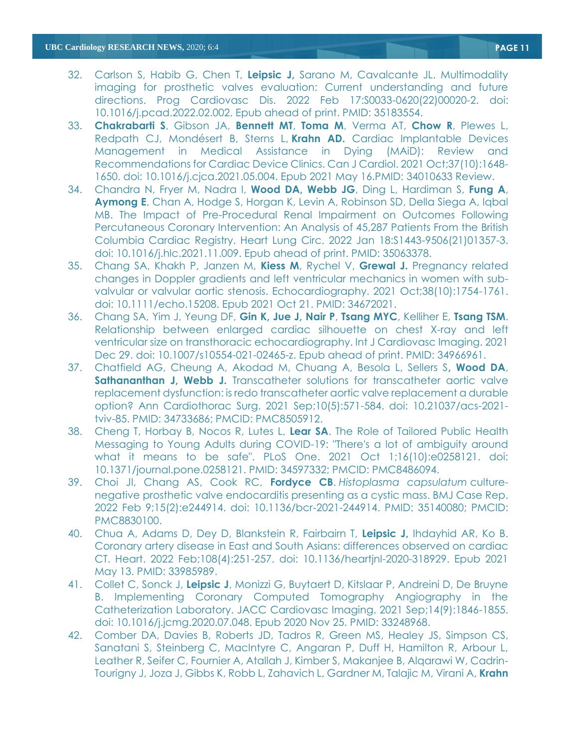- 32. Carlson S, Habib G, Chen T, **Leipsic J,** Sarano M, Cavalcante JL. Multimodality imaging for prosthetic valves evaluation: Current understanding and future directions. Prog Cardiovasc Dis. 2022 Feb 17:S0033-0620(22)00020-2. doi: 10.1016/j.pcad.2022.02.002. Epub ahead of print. PMID: 35183554.
- 33. **Chakrabarti S**, Gibson JA, **Bennett MT**, **Toma M**, Verma AT, **Chow R**, Plewes L, Redpath CJ, Mondésert B, Sterns L, **Krahn AD.** [Cardiac Implantable Devices](https://pubmed.ncbi.nlm.nih.gov/34010633/)  [Management in Medical Assistance in Dying \(MAiD\): Review and](https://pubmed.ncbi.nlm.nih.gov/34010633/)  [Recommendations for Cardiac Device Clinics.](https://pubmed.ncbi.nlm.nih.gov/34010633/) Can J Cardiol. 2021 Oct;37(10):1648- 1650. doi: 10.1016/j.cjca.2021.05.004. Epub 2021 May 16.PMID: 34010633 Review.
- 34. Chandra N, Fryer M, Nadra I, **Wood DA, Webb JG**, Ding L, Hardiman S, **Fung A**, **Aymong E**, Chan A, Hodge S, Horgan K, Levin A, Robinson SD, Della Siega A, Iqbal MB. The Impact of Pre-Procedural Renal Impairment on Outcomes Following Percutaneous Coronary Intervention: An Analysis of 45,287 Patients From the British Columbia Cardiac Registry. Heart Lung Circ. 2022 Jan 18:S1443-9506(21)01357-3. doi: 10.1016/j.hlc.2021.11.009. Epub ahead of print. PMID: 35063378.
- 35. Chang SA, Khakh P, Janzen M, **Kiess M**, Rychel V, **Grewal J.** Pregnancy related changes in Doppler gradients and left ventricular mechanics in women with subvalvular or valvular aortic stenosis. Echocardiography. 2021 Oct;38(10):1754-1761. doi: 10.1111/echo.15208. Epub 2021 Oct 21. PMID: 34672021.
- 36. Chang SA, Yim J, Yeung DF, **Gin K, Jue J, Nair P**, **Tsang MYC**, Kelliher E, **Tsang TSM**. Relationship between enlarged cardiac silhouette on chest X-ray and left ventricular size on transthoracic echocardiography. Int J Cardiovasc Imaging. 2021 Dec 29. doi: 10.1007/s10554-021-02465-z. Epub ahead of print. PMID: 34966961.
- 37. Chatfield AG, Cheung A, Akodad M, Chuang A, Besola L, Sellers S**, Wood DA**, **Sathananthan J, Webb J.** Transcatheter solutions for transcatheter aortic valve replacement dysfunction: is redo transcatheter aortic valve replacement a durable option? Ann Cardiothorac Surg. 2021 Sep;10(5):571-584. doi: 10.21037/acs-2021 tviv-85. PMID: 34733686; PMCID: PMC8505912.
- 38. Cheng T, Horbay B, Nocos R, Lutes L, **Lear SA**. The Role of Tailored Public Health Messaging to Young Adults during COVID-19: "There's a lot of ambiguity around what it means to be safe". PLoS One. 2021 Oct 1;16(10):e0258121. doi: 10.1371/journal.pone.0258121. PMID: 34597332; PMCID: PMC8486094.
- 39. Choi JI, Chang AS, Cook RC, **Fordyce CB**. *Histoplasma capsulatum* culturenegative prosthetic valve endocarditis presenting as a cystic mass. BMJ Case Rep. 2022 Feb 9;15(2):e244914. doi: 10.1136/bcr-2021-244914. PMID: 35140080; PMCID: PMC8830100.
- 40. Chua A, Adams D, Dey D, Blankstein R, Fairbairn T, **Leipsic J,** Ihdayhid AR, Ko B. Coronary artery disease in East and South Asians: differences observed on cardiac CT. Heart. 2022 Feb;108(4):251-257. doi: 10.1136/heartjnl-2020-318929. Epub 2021 May 13. PMID: 33985989.
- 41. Collet C, Sonck J, **Leipsic J**, Monizzi G, Buytaert D, Kitslaar P, Andreini D, De Bruyne B. Implementing Coronary Computed Tomography Angiography in the Catheterization Laboratory. JACC Cardiovasc Imaging. 2021 Sep;14(9):1846-1855. doi: 10.1016/j.jcmg.2020.07.048. Epub 2020 Nov 25. PMID: 33248968.
- 42. Comber DA, Davies B, Roberts JD, Tadros R, Green MS, Healey JS, Simpson CS, Sanatani S, Steinberg C, MacIntyre C, Angaran P, Duff H, Hamilton R, Arbour L, Leather R, Seifer C, Fournier A, Atallah J, Kimber S, Makanjee B, Alqarawi W, Cadrin-Tourigny J, Joza J, Gibbs K, Robb L, Zahavich L, Gardner M, Talajic M, Virani A, **Krahn**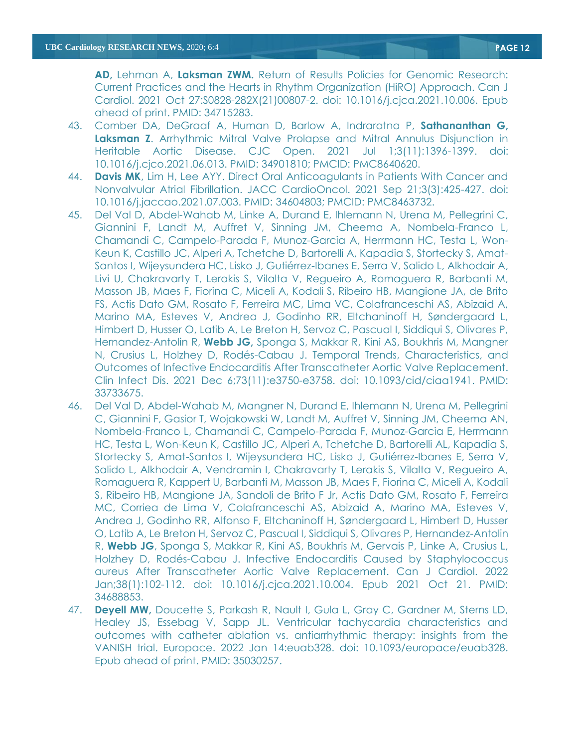**AD,** Lehman A, **Laksman ZWM.** Return of Results Policies for Genomic Research: Current Practices and the Hearts in Rhythm Organization (HiRO) Approach. Can J Cardiol. 2021 Oct 27:S0828-282X(21)00807-2. doi: 10.1016/j.cjca.2021.10.006. Epub ahead of print. PMID: 34715283.

- 43. Comber DA, DeGraaf A, Human D, Barlow A, Indraratna P, **Sathananthan G, Laksman Z**. Arrhythmic Mitral Valve Prolapse and Mitral Annulus Disjunction in Heritable Aortic Disease. CJC Open. 2021 Jul 1;3(11):1396-1399. doi: 10.1016/j.cjco.2021.06.013. PMID: 34901810; PMCID: PMC8640620.
- 44. **Davis MK**, Lim H, Lee AYY. Direct Oral Anticoagulants in Patients With Cancer and Nonvalvular Atrial Fibrillation. JACC CardioOncol. 2021 Sep 21;3(3):425-427. doi: 10.1016/j.jaccao.2021.07.003. PMID: 34604803; PMCID: PMC8463732.
- 45. Del Val D, Abdel-Wahab M, Linke A, Durand E, Ihlemann N, Urena M, Pellegrini C, Giannini F, Landt M, Auffret V, Sinning JM, Cheema A, Nombela-Franco L, Chamandi C, Campelo-Parada F, Munoz-Garcia A, Herrmann HC, Testa L, Won-Keun K, Castillo JC, Alperi A, Tchetche D, Bartorelli A, Kapadia S, Stortecky S, Amat-Santos I, Wijeysundera HC, Lisko J, Gutiérrez-Ibanes E, Serra V, Salido L, Alkhodair A, Livi U, Chakravarty T, Lerakis S, Vilalta V, Regueiro A, Romaguera R, Barbanti M, Masson JB, Maes F, Fiorina C, Miceli A, Kodali S, Ribeiro HB, Mangione JA, de Brito FS, Actis Dato GM, Rosato F, Ferreira MC, Lima VC, Colafranceschi AS, Abizaid A, Marino MA, Esteves V, Andrea J, Godinho RR, Eltchaninoff H, Søndergaard L, Himbert D, Husser O, Latib A, Le Breton H, Servoz C, Pascual I, Siddiqui S, Olivares P, Hernandez-Antolin R, **Webb JG,** Sponga S, Makkar R, Kini AS, Boukhris M, Mangner N, Crusius L, Holzhey D, Rodés-Cabau J. Temporal Trends, Characteristics, and Outcomes of Infective Endocarditis After Transcatheter Aortic Valve Replacement. Clin Infect Dis. 2021 Dec 6;73(11):e3750-e3758. doi: 10.1093/cid/ciaa1941. PMID: 33733675.
- 46. Del Val D, Abdel-Wahab M, Mangner N, Durand E, Ihlemann N, Urena M, Pellegrini C, Giannini F, Gasior T, Wojakowski W, Landt M, Auffret V, Sinning JM, Cheema AN, Nombela-Franco L, Chamandi C, Campelo-Parada F, Munoz-Garcia E, Herrmann HC, Testa L, Won-Keun K, Castillo JC, Alperi A, Tchetche D, Bartorelli AL, Kapadia S, Stortecky S, Amat-Santos I, Wijeysundera HC, Lisko J, Gutiérrez-Ibanes E, Serra V, Salido L, Alkhodair A, Vendramin I, Chakravarty T, Lerakis S, Vilalta V, Regueiro A, Romaguera R, Kappert U, Barbanti M, Masson JB, Maes F, Fiorina C, Miceli A, Kodali S, Ribeiro HB, Mangione JA, Sandoli de Brito F Jr, Actis Dato GM, Rosato F, Ferreira MC, Corriea de Lima V, Colafranceschi AS, Abizaid A, Marino MA, Esteves V, Andrea J, Godinho RR, Alfonso F, Eltchaninoff H, Søndergaard L, Himbert D, Husser O, Latib A, Le Breton H, Servoz C, Pascual I, Siddiqui S, Olivares P, Hernandez-Antolin R, **Webb JG**, Sponga S, Makkar R, Kini AS, Boukhris M, Gervais P, Linke A, Crusius L, Holzhey D, Rodés-Cabau J. Infective Endocarditis Caused by Staphylococcus aureus After Transcatheter Aortic Valve Replacement. Can J Cardiol. 2022 Jan;38(1):102-112. doi: 10.1016/j.cjca.2021.10.004. Epub 2021 Oct 21. PMID: 34688853.
- 47. **Deyell MW,** Doucette S, Parkash R, Nault I, Gula L, Gray C, Gardner M, Sterns LD, Healey JS, Essebag V, Sapp JL. Ventricular tachycardia characteristics and outcomes with catheter ablation vs. antiarrhythmic therapy: insights from the VANISH trial. Europace. 2022 Jan 14:euab328. doi: 10.1093/europace/euab328. Epub ahead of print. PMID: 35030257.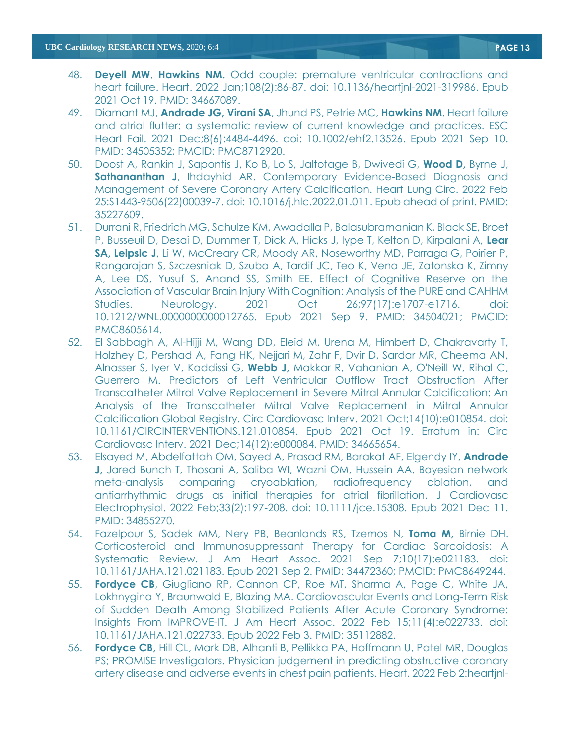- 48. **Deyell MW**, **Hawkins NM.** Odd couple: premature ventricular contractions and heart failure. Heart. 2022 Jan;108(2):86-87. doi: 10.1136/heartjnl-2021-319986. Epub 2021 Oct 19. PMID: 34667089.
- 49. Diamant MJ, **Andrade JG, Virani SA**, Jhund PS, Petrie MC, **Hawkins NM**. Heart failure and atrial flutter: a systematic review of current knowledge and practices. ESC Heart Fail. 2021 Dec;8(6):4484-4496. doi: 10.1002/ehf2.13526. Epub 2021 Sep 10. PMID: 34505352; PMCID: PMC8712920.
- 50. Doost A, Rankin J, Sapontis J, Ko B, Lo S, Jaltotage B, Dwivedi G, **Wood D,** Byrne J, **Sathananthan J**, Ihdayhid AR. Contemporary Evidence-Based Diagnosis and Management of Severe Coronary Artery Calcification. Heart Lung Circ. 2022 Feb 25:S1443-9506(22)00039-7. doi: 10.1016/j.hlc.2022.01.011. Epub ahead of print. PMID: 35227609.
- 51. Durrani R, Friedrich MG, Schulze KM, Awadalla P, Balasubramanian K, Black SE, Broet P, Busseuil D, Desai D, Dummer T, Dick A, Hicks J, Iype T, Kelton D, Kirpalani A, **Lear SA, Leipsic J**, Li W, McCreary CR, Moody AR, Noseworthy MD, Parraga G, Poirier P, Rangarajan S, Szczesniak D, Szuba A, Tardif JC, Teo K, Vena JE, Zatonska K, Zimny A, Lee DS, Yusuf S, Anand SS, Smith EE. Effect of Cognitive Reserve on the Association of Vascular Brain Injury With Cognition: Analysis of the PURE and CAHHM Studies. Neurology. 2021 Oct 26;97(17):e1707-e1716. doi: 10.1212/WNL.0000000000012765. Epub 2021 Sep 9. PMID: 34504021; PMCID: PMC8605614.
- 52. El Sabbagh A, Al-Hijji M, Wang DD, Eleid M, Urena M, Himbert D, Chakravarty T, Holzhey D, Pershad A, Fang HK, Nejjari M, Zahr F, Dvir D, Sardar MR, Cheema AN, Alnasser S, Iyer V, Kaddissi G, **Webb J,** Makkar R, Vahanian A, O'Neill W, Rihal C, Guerrero M. Predictors of Left Ventricular Outflow Tract Obstruction After Transcatheter Mitral Valve Replacement in Severe Mitral Annular Calcification: An Analysis of the Transcatheter Mitral Valve Replacement in Mitral Annular Calcification Global Registry. Circ Cardiovasc Interv. 2021 Oct;14(10):e010854. doi: 10.1161/CIRCINTERVENTIONS.121.010854. Epub 2021 Oct 19. Erratum in: Circ Cardiovasc Interv. 2021 Dec;14(12):e000084. PMID: 34665654.
- 53. Elsayed M, Abdelfattah OM, Sayed A, Prasad RM, Barakat AF, Elgendy IY, **Andrade J,** Jared Bunch T, Thosani A, Saliba WI, Wazni OM, Hussein AA. Bayesian network meta-analysis comparing cryoablation, radiofrequency ablation, and antiarrhythmic drugs as initial therapies for atrial fibrillation. J Cardiovasc Electrophysiol. 2022 Feb;33(2):197-208. doi: 10.1111/jce.15308. Epub 2021 Dec 11. PMID: 34855270.
- 54. Fazelpour S, Sadek MM, Nery PB, Beanlands RS, Tzemos N, **Toma M,** Birnie DH. Corticosteroid and Immunosuppressant Therapy for Cardiac Sarcoidosis: A Systematic Review. J Am Heart Assoc. 2021 Sep 7;10(17):e021183. doi: 10.1161/JAHA.121.021183. Epub 2021 Sep 2. PMID: 34472360; PMCID: PMC8649244.
- 55. **Fordyce CB**, Giugliano RP, Cannon CP, Roe MT, Sharma A, Page C, White JA, Lokhnygina Y, Braunwald E, Blazing MA. Cardiovascular Events and Long-Term Risk of Sudden Death Among Stabilized Patients After Acute Coronary Syndrome: Insights From IMPROVE-IT. J Am Heart Assoc. 2022 Feb 15;11(4):e022733. doi: 10.1161/JAHA.121.022733. Epub 2022 Feb 3. PMID: 35112882.
- 56. **Fordyce CB,** Hill CL, Mark DB, Alhanti B, Pellikka PA, Hoffmann U, Patel MR, Douglas PS; PROMISE Investigators. Physician judgement in predicting obstructive coronary artery disease and adverse events in chest pain patients. Heart. 2022 Feb 2:heartjnl-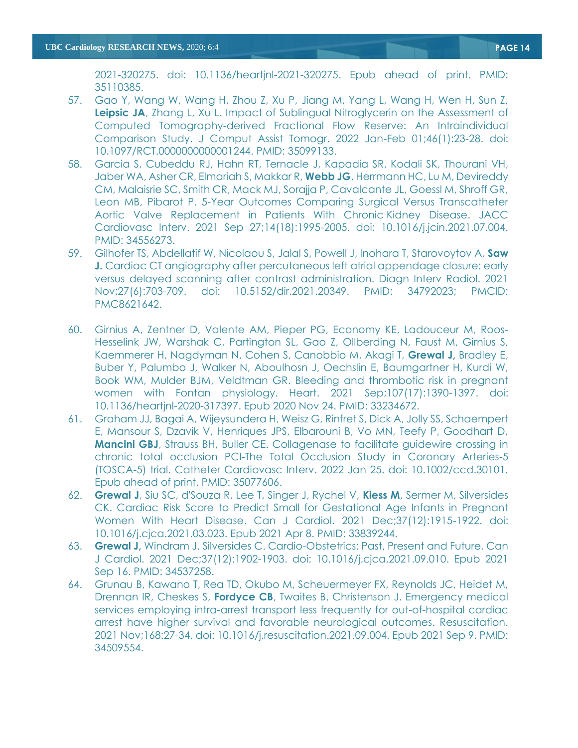2021-320275. doi: 10.1136/heartjnl-2021-320275. Epub ahead of print. PMID: 35110385.

- 57. Gao Y, Wang W, Wang H, Zhou Z, Xu P, Jiang M, Yang L, Wang H, Wen H, Sun Z, **Leipsic JA**, Zhang L, Xu L. Impact of Sublingual Nitroglycerin on the Assessment of Computed Tomography-derived Fractional Flow Reserve: An Intraindividual Comparison Study. J Comput Assist Tomogr. 2022 Jan-Feb 01;46(1):23-28. doi: 10.1097/RCT.0000000000001244. PMID: 35099133.
- 58. Garcia S, Cubeddu RJ, Hahn RT, Ternacle J, Kapadia SR, Kodali SK, Thourani VH, Jaber WA, Asher CR, Elmariah S, Makkar R, **Webb JG**, Herrmann HC, Lu M, Devireddy CM, Malaisrie SC, Smith CR, Mack MJ, Sorajja P, Cavalcante JL, Goessl M, Shroff GR, Leon MB, Pibarot P. 5-Year Outcomes Comparing Surgical Versus Transcatheter Aortic Valve Replacement in Patients With Chronic Kidney Disease. JACC Cardiovasc Interv. 2021 Sep 27;14(18):1995-2005. doi: 10.1016/j.jcin.2021.07.004. PMID: 34556273.
- 59. Gilhofer TS, Abdellatif W, Nicolaou S, Jalal S, Powell J, Inohara T, Starovoytov A, **Saw J.** Cardiac CT angiography after percutaneous left atrial appendage closure: early versus delayed scanning after contrast administration. Diagn Interv Radiol. 2021 Nov;27(6):703-709. doi: 10.5152/dir.2021.20349. PMID: 34792023; PMCID: PMC8621642.
- 60. Girnius A, Zentner D, Valente AM, Pieper PG, Economy KE, Ladouceur M, Roos-Hesselink JW, Warshak C, Partington SL, Gao Z, Ollberding N, Faust M, Girnius S, Kaemmerer H, Nagdyman N, Cohen S, Canobbio M, Akagi T, **Grewal J,** Bradley E, Buber Y, Palumbo J, Walker N, Aboulhosn J, Oechslin E, Baumgartner H, Kurdi W, Book WM, Mulder BJM, Veldtman GR. Bleeding and thrombotic risk in pregnant women with Fontan physiology. Heart. 2021 Sep;107(17):1390-1397. doi: 10.1136/heartjnl-2020-317397. Epub 2020 Nov 24. PMID: 33234672.
- 61. Graham JJ, Bagai A, Wijeysundera H, Weisz G, Rinfret S, Dick A, Jolly SS, Schaempert E, Mansour S, Dzavik V, Henriques JPS, Elbarouni B, Vo MN, Teefy P, Goodhart D, **Mancini GBJ**, Strauss BH, Buller CE. Collagenase to facilitate guidewire crossing in chronic total occlusion PCI-The Total Occlusion Study in Coronary Arteries-5 (TOSCA-5) trial. Catheter Cardiovasc Interv. 2022 Jan 25. doi: 10.1002/ccd.30101. Epub ahead of print. PMID: 35077606.
- 62. **Grewal J**, Siu SC, d'Souza R, Lee T, Singer J, Rychel V, **Kiess M**, Sermer M, Silversides CK. Cardiac Risk Score to Predict Small for Gestational Age Infants in Pregnant Women With Heart Disease. Can J Cardiol. 2021 Dec;37(12):1915-1922. doi: 10.1016/j.cjca.2021.03.023. Epub 2021 Apr 8. PMID: 33839244.
- 63. **Grewal J,** Windram J, Silversides C. Cardio-Obstetrics: Past, Present and Future. Can J Cardiol. 2021 Dec;37(12):1902-1903. doi: 10.1016/j.cjca.2021.09.010. Epub 2021 Sep 16. PMID: 34537258.
- 64. Grunau B, Kawano T, Rea TD, Okubo M, Scheuermeyer FX, Reynolds JC, Heidet M, Drennan IR, Cheskes S, **Fordyce CB**, Twaites B, Christenson J. Emergency medical services employing intra-arrest transport less frequently for out-of-hospital cardiac arrest have higher survival and favorable neurological outcomes. Resuscitation. 2021 Nov;168:27-34. doi: 10.1016/j.resuscitation.2021.09.004. Epub 2021 Sep 9. PMID: 34509554.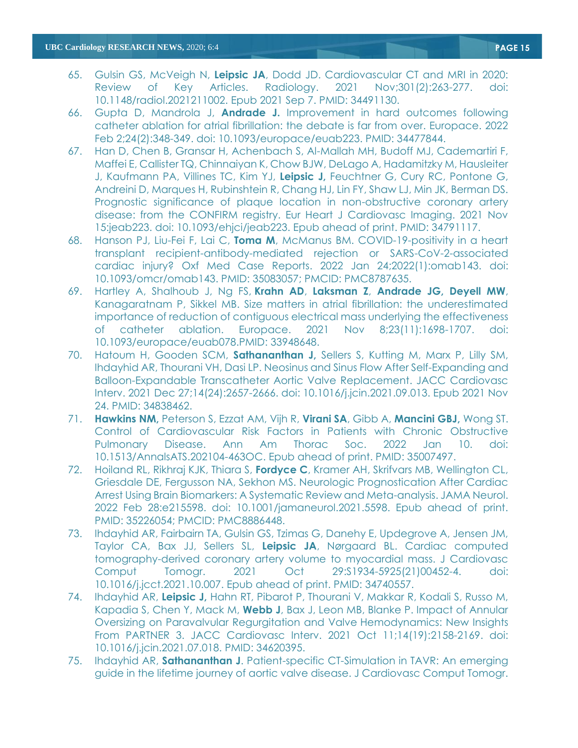- 65. Gulsin GS, McVeigh N, **Leipsic JA**, Dodd JD. Cardiovascular CT and MRI in 2020: Review of Key Articles. Radiology. 2021 Nov;301(2):263-277. doi: 10.1148/radiol.2021211002. Epub 2021 Sep 7. PMID: 34491130.
- 66. Gupta D, Mandrola J, **Andrade J.** Improvement in hard outcomes following catheter ablation for atrial fibrillation: the debate is far from over. Europace. 2022 Feb 2;24(2):348-349. doi: 10.1093/europace/euab223. PMID: 34477844.
- 67. Han D, Chen B, Gransar H, Achenbach S, Al-Mallah MH, Budoff MJ, Cademartiri F, Maffei E, Callister TQ, Chinnaiyan K, Chow BJW, DeLago A, Hadamitzky M, Hausleiter J, Kaufmann PA, Villines TC, Kim YJ, **Leipsic J,** Feuchtner G, Cury RC, Pontone G, Andreini D, Marques H, Rubinshtein R, Chang HJ, Lin FY, Shaw LJ, Min JK, Berman DS. Prognostic significance of plaque location in non-obstructive coronary artery disease: from the CONFIRM registry. Eur Heart J Cardiovasc Imaging. 2021 Nov 15:jeab223. doi: 10.1093/ehjci/jeab223. Epub ahead of print. PMID: 34791117.
- 68. Hanson PJ, Liu-Fei F, Lai C, **Toma M**, McManus BM. COVID-19-positivity in a heart transplant recipient-antibody-mediated rejection or SARS-CoV-2-associated cardiac injury? Oxf Med Case Reports. 2022 Jan 24;2022(1):omab143. doi: 10.1093/omcr/omab143. PMID: 35083057; PMCID: PMC8787635.
- 69. Hartley A, Shalhoub J, Ng FS, **Krahn AD**, **Laksman Z**, **Andrade JG, Deyell MW**, Kanagaratnam P, Sikkel MB. Size matters in atrial fibrillation: the underestimated importance of reduction of contiguous electrical mass underlying the effectiveness of catheter ablation. Europace. 2021 Nov 8;23(11):1698-1707. doi: 10.1093/europace/euab078.PMID: 33948648.
- 70. Hatoum H, Gooden SCM, **Sathananthan J,** Sellers S, Kutting M, Marx P, Lilly SM, Ihdayhid AR, Thourani VH, Dasi LP. Neosinus and Sinus Flow After Self-Expanding and Balloon-Expandable Transcatheter Aortic Valve Replacement. JACC Cardiovasc Interv. 2021 Dec 27;14(24):2657-2666. doi: 10.1016/j.jcin.2021.09.013. Epub 2021 Nov 24. PMID: 34838462.
- 71. **Hawkins NM,** Peterson S, Ezzat AM, Vijh R, **Virani SA**, Gibb A, **Mancini GBJ,** Wong ST. Control of Cardiovascular Risk Factors in Patients with Chronic Obstructive Pulmonary Disease. Ann Am Thorac Soc. 2022 Jan 10. doi: 10.1513/AnnalsATS.202104-463OC. Epub ahead of print. PMID: 35007497.
- 72. Hoiland RL, Rikhraj KJK, Thiara S, **Fordyce C**, Kramer AH, Skrifvars MB, Wellington CL, Griesdale DE, Fergusson NA, Sekhon MS. Neurologic Prognostication After Cardiac Arrest Using Brain Biomarkers: A Systematic Review and Meta-analysis. JAMA Neurol. 2022 Feb 28:e215598. doi: 10.1001/jamaneurol.2021.5598. Epub ahead of print. PMID: 35226054; PMCID: PMC8886448.
- 73. Ihdayhid AR, Fairbairn TA, Gulsin GS, Tzimas G, Danehy E, Updegrove A, Jensen JM, Taylor CA, Bax JJ, Sellers SL, **Leipsic JA**, Nørgaard BL. Cardiac computed tomography-derived coronary artery volume to myocardial mass. J Cardiovasc Comput Tomogr. 2021 Oct 29:S1934-5925(21)00452-4. doi: 10.1016/j.jcct.2021.10.007. Epub ahead of print. PMID: 34740557.
- 74. Ihdayhid AR, **Leipsic J,** Hahn RT, Pibarot P, Thourani V, Makkar R, Kodali S, Russo M, Kapadia S, Chen Y, Mack M, **Webb J**, Bax J, Leon MB, Blanke P. Impact of Annular Oversizing on Paravalvular Regurgitation and Valve Hemodynamics: New Insights From PARTNER 3. JACC Cardiovasc Interv. 2021 Oct 11;14(19):2158-2169. doi: 10.1016/j.jcin.2021.07.018. PMID: 34620395.
- 75. Ihdayhid AR, **Sathananthan J**. Patient-specific CT-Simulation in TAVR: An emerging guide in the lifetime journey of aortic valve disease. J Cardiovasc Comput Tomogr.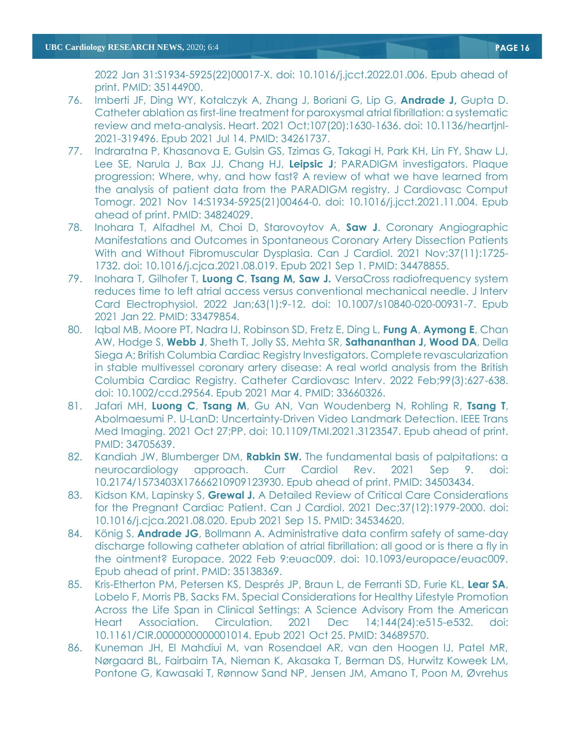2022 Jan 31:S1934-5925(22)00017-X. doi: 10.1016/j.jcct.2022.01.006. Epub ahead of print. PMID: 35144900.

- 76. Imberti JF, Ding WY, Kotalczyk A, Zhang J, Boriani G, Lip G, **Andrade J,** Gupta D. Catheter ablation as first-line treatment for paroxysmal atrial fibrillation: a systematic review and meta-analysis. Heart. 2021 Oct;107(20):1630-1636. doi: 10.1136/heartjnl-2021-319496. Epub 2021 Jul 14. PMID: 34261737.
- 77. Indraratna P, Khasanova E, Gulsin GS, Tzimas G, Takagi H, Park KH, Lin FY, Shaw LJ, Lee SE, Narula J, Bax JJ, Chang HJ, **Leipsic J**; PARADIGM investigators. Plaque progression: Where, why, and how fast? A review of what we have learned from the analysis of patient data from the PARADIGM registry. J Cardiovasc Comput Tomogr. 2021 Nov 14:S1934-5925(21)00464-0. doi: 10.1016/j.jcct.2021.11.004. Epub ahead of print. PMID: 34824029.
- 78. Inohara T, Alfadhel M, Choi D, Starovoytov A, **Saw J**. Coronary Angiographic Manifestations and Outcomes in Spontaneous Coronary Artery Dissection Patients With and Without Fibromuscular Dysplasia. Can J Cardiol. 2021 Nov;37(11):1725- 1732. doi: 10.1016/j.cjca.2021.08.019. Epub 2021 Sep 1. PMID: 34478855.
- 79. Inohara T, Gilhofer T, **Luong C**, **Tsang M, Saw J.** VersaCross radiofrequency system reduces time to left atrial access versus conventional mechanical needle. J Interv Card Electrophysiol. 2022 Jan;63(1):9-12. doi: 10.1007/s10840-020-00931-7. Epub 2021 Jan 22. PMID: 33479854.
- 80. Iqbal MB, Moore PT, Nadra IJ, Robinson SD, Fretz E, Ding L, **Fung A**, **Aymong E**, Chan AW, Hodge S, **Webb J**, Sheth T, Jolly SS, Mehta SR, **Sathananthan J, Wood DA**, Della Siega A; British Columbia Cardiac Registry Investigators. Complete revascularization in stable multivessel coronary artery disease: A real world analysis from the British Columbia Cardiac Registry. Catheter Cardiovasc Interv. 2022 Feb;99(3):627-638. doi: 10.1002/ccd.29564. Epub 2021 Mar 4. PMID: 33660326.
- 81. Jafari MH, **Luong C**, **Tsang M**, Gu AN, Van Woudenberg N, Rohling R, **Tsang T**, Abolmaesumi P. U-LanD: Uncertainty-Driven Video Landmark Detection. IEEE Trans Med Imaging. 2021 Oct 27;PP. doi: 10.1109/TMI.2021.3123547. Epub ahead of print. PMID: 34705639.
- 82. Kandiah JW, Blumberger DM, **Rabkin SW.** The fundamental basis of palpitations: a neurocardiology approach. Curr Cardiol Rev. 2021 Sep 9. doi: 10.2174/1573403X17666210909123930. Epub ahead of print. PMID: 34503434.
- 83. Kidson KM, Lapinsky S, **Grewal J.** A Detailed Review of Critical Care Considerations for the Pregnant Cardiac Patient. Can J Cardiol. 2021 Dec;37(12):1979-2000. doi: 10.1016/j.cjca.2021.08.020. Epub 2021 Sep 15. PMID: 34534620.
- 84. König S, **Andrade JG**, Bollmann A. Administrative data confirm safety of same-day discharge following catheter ablation of atrial fibrillation: all good or is there a fly in the ointment? Europace. 2022 Feb 9:euac009. doi: 10.1093/europace/euac009. Epub ahead of print. PMID: 35138369.
- 85. Kris-Etherton PM, Petersen KS, Després JP, Braun L, de Ferranti SD, Furie KL, **Lear SA**, Lobelo F, Morris PB, Sacks FM. Special Considerations for Healthy Lifestyle Promotion Across the Life Span in Clinical Settings: A Science Advisory From the American Heart Association. Circulation. 2021 Dec 14;144(24):e515-e532. doi: 10.1161/CIR.0000000000001014. Epub 2021 Oct 25. PMID: 34689570.
- 86. Kuneman JH, El Mahdiui M, van Rosendael AR, van den Hoogen IJ, Patel MR, Nørgaard BL, Fairbairn TA, Nieman K, Akasaka T, Berman DS, Hurwitz Koweek LM, Pontone G, Kawasaki T, Rønnow Sand NP, Jensen JM, Amano T, Poon M, Øvrehus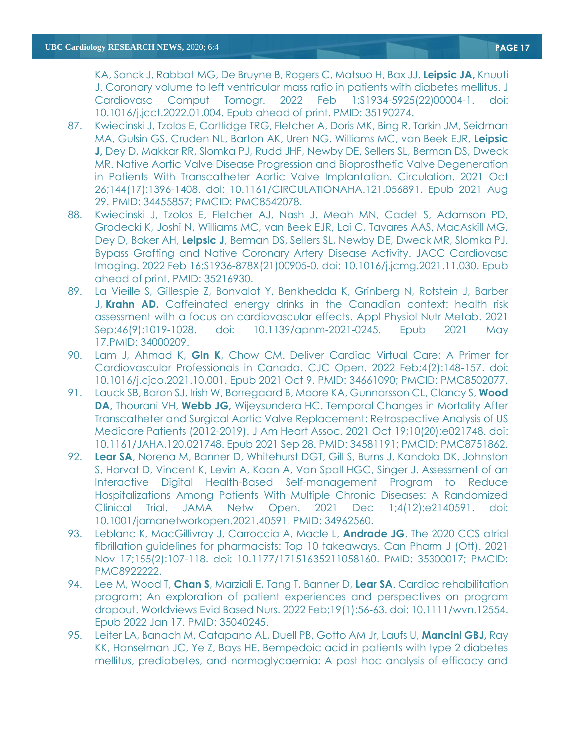KA, Sonck J, Rabbat MG, De Bruyne B, Rogers C, Matsuo H, Bax JJ, **Leipsic JA,** Knuuti J. Coronary volume to left ventricular mass ratio in patients with diabetes mellitus. J Cardiovasc Comput Tomogr. 2022 Feb 1:S1934-5925(22)00004-1. doi: 10.1016/j.jcct.2022.01.004. Epub ahead of print. PMID: 35190274.

- 87. Kwiecinski J, Tzolos E, Cartlidge TRG, Fletcher A, Doris MK, Bing R, Tarkin JM, Seidman MA, Gulsin GS, Cruden NL, Barton AK, Uren NG, Williams MC, van Beek EJR, **Leipsic J,** Dey D, Makkar RR, Slomka PJ, Rudd JHF, Newby DE, Sellers SL, Berman DS, Dweck MR. Native Aortic Valve Disease Progression and Bioprosthetic Valve Degeneration in Patients With Transcatheter Aortic Valve Implantation. Circulation. 2021 Oct 26;144(17):1396-1408. doi: 10.1161/CIRCULATIONAHA.121.056891. Epub 2021 Aug 29. PMID: 34455857; PMCID: PMC8542078.
- 88. Kwiecinski J, Tzolos E, Fletcher AJ, Nash J, Meah MN, Cadet S, Adamson PD, Grodecki K, Joshi N, Williams MC, van Beek EJR, Lai C, Tavares AAS, MacAskill MG, Dey D, Baker AH, **Leipsic J**, Berman DS, Sellers SL, Newby DE, Dweck MR, Slomka PJ. Bypass Grafting and Native Coronary Artery Disease Activity. JACC Cardiovasc Imaging. 2022 Feb 16:S1936-878X(21)00905-0. doi: 10.1016/j.jcmg.2021.11.030. Epub ahead of print. PMID: 35216930.
- 89. La Vieille S, Gillespie Z, Bonvalot Y, Benkhedda K, Grinberg N, Rotstein J, Barber J, **Krahn AD.** Caffeinated energy [drinks in the Canadian context: health risk](https://pubmed.ncbi.nlm.nih.gov/34000209/)  [assessment with a focus on cardiovascular effects.](https://pubmed.ncbi.nlm.nih.gov/34000209/) Appl Physiol Nutr Metab. 2021 Sep;46(9):1019-1028. doi: 10.1139/apnm-2021-0245. Epub 2021 May 17.PMID: 34000209.
- 90. Lam J, Ahmad K, **Gin K**, Chow CM. Deliver Cardiac Virtual Care: A Primer for Cardiovascular Professionals in Canada. CJC Open. 2022 Feb;4(2):148-157. doi: 10.1016/j.cjco.2021.10.001. Epub 2021 Oct 9. PMID: 34661090; PMCID: PMC8502077.
- 91. Lauck SB, Baron SJ, Irish W, Borregaard B, Moore KA, Gunnarsson CL, Clancy S, **Wood DA,** Thourani VH, **Webb JG,** Wijeysundera HC. Temporal Changes in Mortality After Transcatheter and Surgical Aortic Valve Replacement: Retrospective Analysis of US Medicare Patients (2012-2019). J Am Heart Assoc. 2021 Oct 19;10(20):e021748. doi: 10.1161/JAHA.120.021748. Epub 2021 Sep 28. PMID: 34581191; PMCID: PMC8751862.
- 92. **Lear SA**, Norena M, Banner D, Whitehurst DGT, Gill S, Burns J, Kandola DK, Johnston S, Horvat D, Vincent K, Levin A, Kaan A, Van Spall HGC, Singer J. Assessment of an Interactive Digital Health-Based Self-management Program to Reduce Hospitalizations Among Patients With Multiple Chronic Diseases: A Randomized Clinical Trial. JAMA Netw Open. 2021 Dec 1;4(12):e2140591. doi: 10.1001/jamanetworkopen.2021.40591. PMID: 34962560.
- 93. Leblanc K, MacGillivray J, Carroccia A, Macle L, **Andrade JG**. The 2020 CCS atrial fibrillation guidelines for pharmacists: Top 10 takeaways. Can Pharm J (Ott). 2021 Nov 17;155(2):107-118. doi: 10.1177/17151635211058160. PMID: 35300017; PMCID: PMC8922222.
- 94. Lee M, Wood T, **Chan S**, Marziali E, Tang T, Banner D, **Lear SA**. Cardiac rehabilitation program: An exploration of patient experiences and perspectives on program dropout. Worldviews Evid Based Nurs. 2022 Feb;19(1):56-63. doi: 10.1111/wvn.12554. Epub 2022 Jan 17. PMID: 35040245.
- 95. Leiter LA, Banach M, Catapano AL, Duell PB, Gotto AM Jr, Laufs U, **Mancini GBJ,** Ray KK, Hanselman JC, Ye Z, Bays HE. Bempedoic acid in patients with type 2 diabetes mellitus, prediabetes, and normoglycaemia: A post hoc analysis of efficacy and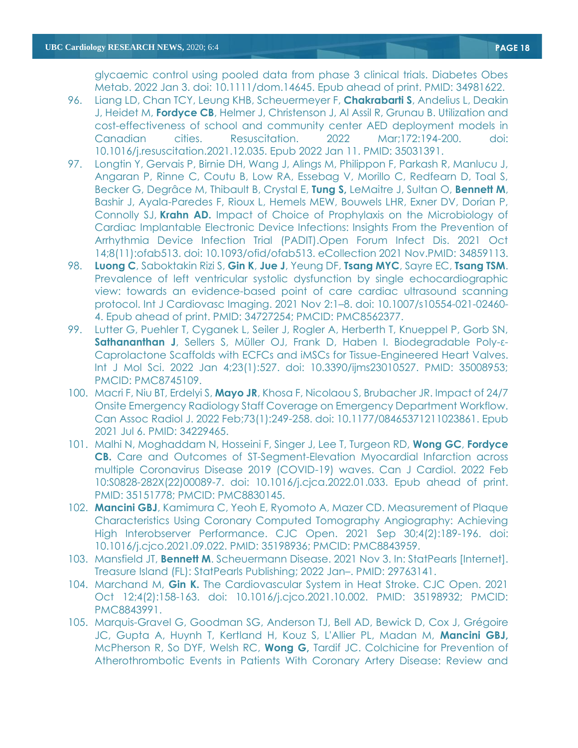glycaemic control using pooled data from phase 3 clinical trials. Diabetes Obes Metab. 2022 Jan 3. doi: 10.1111/dom.14645. Epub ahead of print. PMID: 34981622.

- 96. Liang LD, Chan TCY, Leung KHB, Scheuermeyer F, **Chakrabarti S**, Andelius L, Deakin J, Heidet M, **Fordyce CB**, Helmer J, Christenson J, Al Assil R, Grunau B. Utilization and cost-effectiveness of school and community center AED deployment models in Canadian cities. Resuscitation. 2022 Mar;172:194-200. doi: 10.1016/j.resuscitation.2021.12.035. Epub 2022 Jan 11. PMID: 35031391.
- 97. Longtin Y, Gervais P, Birnie DH, Wang J, Alings M, Philippon F, Parkash R, Manlucu J, Angaran P, Rinne C, Coutu B, Low RA, Essebag V, Morillo C, Redfearn D, Toal S, Becker G, Degrâce M, Thibault B, Crystal E, **Tung S,** LeMaitre J, Sultan O, **Bennett M**, Bashir J, Ayala-Paredes F, Rioux L, Hemels MEW, Bouwels LHR, Exner DV, Dorian P, Connolly SJ, **Krahn AD.** Impact of Choice of Prophylaxis on the Microbiology of Cardiac Implantable Electronic Device Infections: Insights From the Prevention of Arrhythmia Device Infection Trial (PADIT).Open Forum Infect Dis. 2021 Oct 14;8(11):ofab513. doi: 10.1093/ofid/ofab513. eCollection 2021 Nov.PMID: 34859113.
- 98. **Luong C**, Saboktakin Rizi S, **Gin K**, **Jue J**, Yeung DF, **Tsang MYC**, Sayre EC, **Tsang TSM**. Prevalence of left ventricular systolic dysfunction by single echocardiographic view: towards an evidence-based point of care cardiac ultrasound scanning protocol. Int J Cardiovasc Imaging. 2021 Nov 2:1–8. doi: 10.1007/s10554-021-02460- 4. Epub ahead of print. PMID: 34727254; PMCID: PMC8562377.
- 99. Lutter G, Puehler T, Cyganek L, Seiler J, Rogler A, Herberth T, Knueppel P, Gorb SN, **Sathananthan J**, Sellers S, Müller OJ, Frank D, Haben I. Biodegradable Poly-ε-Caprolactone Scaffolds with ECFCs and iMSCs for Tissue-Engineered Heart Valves. Int J Mol Sci. 2022 Jan 4;23(1):527. doi: 10.3390/ijms23010527. PMID: 35008953; PMCID: PMC8745109.
- 100. Macri F, Niu BT, Erdelyi S, **Mayo JR**, Khosa F, Nicolaou S, Brubacher JR. Impact of 24/7 Onsite Emergency Radiology Staff Coverage on Emergency Department Workflow. Can Assoc Radiol J. 2022 Feb;73(1):249-258. doi: 10.1177/08465371211023861. Epub 2021 Jul 6. PMID: 34229465.
- 101. Malhi N, Moghaddam N, Hosseini F, Singer J, Lee T, Turgeon RD, **Wong GC**, **Fordyce CB.** Care and Outcomes of ST-Segment-Elevation Myocardial Infarction across multiple Coronavirus Disease 2019 (COVID-19) waves. Can J Cardiol. 2022 Feb 10:S0828-282X(22)00089-7. doi: 10.1016/j.cjca.2022.01.033. Epub ahead of print. PMID: 35151778; PMCID: PMC8830145.
- 102. **Mancini GBJ**, Kamimura C, Yeoh E, Ryomoto A, Mazer CD. Measurement of Plaque Characteristics Using Coronary Computed Tomography Angiography: Achieving High Interobserver Performance. CJC Open. 2021 Sep 30;4(2):189-196. doi: 10.1016/j.cjco.2021.09.022. PMID: 35198936; PMCID: PMC8843959.
- 103. Mansfield JT, **Bennett M**. Scheuermann Disease. 2021 Nov 3. In: StatPearls [Internet]. Treasure Island (FL): StatPearls Publishing; 2022 Jan–. PMID: 29763141.
- 104. Marchand M, **Gin K.** The Cardiovascular System in Heat Stroke. CJC Open. 2021 Oct 12;4(2):158-163. doi: 10.1016/j.cjco.2021.10.002. PMID: 35198932; PMCID: PMC8843991.
- 105. Marquis-Gravel G, Goodman SG, Anderson TJ, Bell AD, Bewick D, Cox J, Grégoire JC, Gupta A, Huynh T, Kertland H, Kouz S, L'Allier PL, Madan M, **Mancini GBJ,** McPherson R, So DYF, Welsh RC, **Wong G,** Tardif JC. Colchicine for Prevention of Atherothrombotic Events in Patients With Coronary Artery Disease: Review and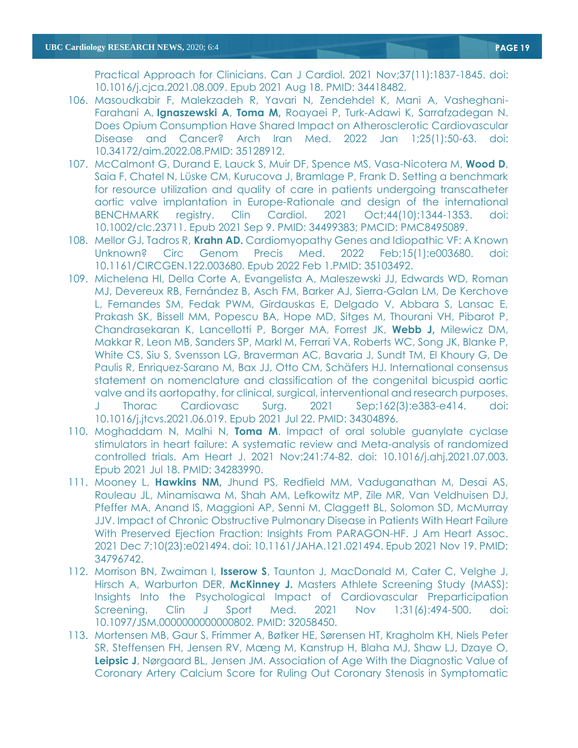Practical Approach for Clinicians. Can J Cardiol. 2021 Nov;37(11):1837-1845. doi: 10.1016/j.cjca.2021.08.009. Epub 2021 Aug 18. PMID: 34418482.

- 106. Masoudkabir F, Malekzadeh R, Yavari N, Zendehdel K, Mani A, Vasheghani-Farahani A, **Ignaszewski A**, **Toma M,** Roayaei P, Turk-Adawi K, Sarrafzadegan N. [Does Opium Consumption Have Shared Impact on Atherosclerotic Cardiovascular](https://pubmed.ncbi.nlm.nih.gov/35128912/)  [Disease and Cancer?](https://pubmed.ncbi.nlm.nih.gov/35128912/) Arch Iran Med. 2022 Jan 1;25(1):50-63. doi: 10.34172/aim.2022.08.PMID: 35128912.
- 107. McCalmont G, Durand E, Lauck S, Muir DF, Spence MS, Vasa-Nicotera M, **Wood D**, Saia F, Chatel N, Lüske CM, Kurucova J, Bramlage P, Frank D. Setting a benchmark for resource utilization and quality of care in patients undergoing transcatheter aortic valve implantation in Europe-Rationale and design of the international BENCHMARK registry. Clin Cardiol. 2021 Oct;44(10):1344-1353. doi: 10.1002/clc.23711. Epub 2021 Sep 9. PMID: 34499383; PMCID: PMC8495089.
- 108. Mellor GJ, Tadros R, **Krahn AD.** [Cardiomyopathy Genes and Idiopathic VF: A Known](https://pubmed.ncbi.nlm.nih.gov/35103492/)  [Unknown?](https://pubmed.ncbi.nlm.nih.gov/35103492/) Circ Genom Precis Med. 2022 Feb;15(1):e003680. doi: 10.1161/CIRCGEN.122.003680. Epub 2022 Feb 1.PMID: 35103492.
- 109. Michelena HI, Della Corte A, Evangelista A, Maleszewski JJ, Edwards WD, Roman MJ, Devereux RB, Fernández B, Asch FM, Barker AJ, Sierra-Galan LM, De Kerchove L, Fernandes SM, Fedak PWM, Girdauskas E, Delgado V, Abbara S, Lansac E, Prakash SK, Bissell MM, Popescu BA, Hope MD, Sitges M, Thourani VH, Pibarot P, Chandrasekaran K, Lancellotti P, Borger MA, Forrest JK, **Webb J,** Milewicz DM, Makkar R, Leon MB, Sanders SP, Markl M, Ferrari VA, Roberts WC, Song JK, Blanke P, White CS, Siu S, Svensson LG, Braverman AC, Bavaria J, Sundt TM, El Khoury G, De Paulis R, Enriquez-Sarano M, Bax JJ, Otto CM, Schäfers HJ. International consensus statement on nomenclature and classification of the congenital bicuspid aortic valve and its aortopathy, for clinical, surgical, interventional and research purposes. J Thorac Cardiovasc Surg. 2021 Sep;162(3):e383-e414. doi: 10.1016/j.jtcvs.2021.06.019. Epub 2021 Jul 22. PMID: 34304896.
- 110. Moghaddam N, Malhi N, **Toma M**. Impact of oral soluble guanylate cyclase stimulators in heart failure: A systematic review and Meta-analysis of randomized controlled trials. Am Heart J. 2021 Nov;241:74-82. doi: 10.1016/j.ahj.2021.07.003. Epub 2021 Jul 18. PMID: 34283990.
- 111. Mooney L, **Hawkins NM,** Jhund PS, Redfield MM, Vaduganathan M, Desai AS, Rouleau JL, Minamisawa M, Shah AM, Lefkowitz MP, Zile MR, Van Veldhuisen DJ, Pfeffer MA, Anand IS, Maggioni AP, Senni M, Claggett BL, Solomon SD, McMurray JJV. Impact of Chronic Obstructive Pulmonary Disease in Patients With Heart Failure With Preserved Ejection Fraction: Insights From PARAGON-HF. J Am Heart Assoc. 2021 Dec 7;10(23):e021494. doi: 10.1161/JAHA.121.021494. Epub 2021 Nov 19. PMID: 34796742.
- 112. Morrison BN, Zwaiman I, **Isserow S**, Taunton J, MacDonald M, Cater C, Velghe J, Hirsch A, Warburton DER, **McKinney J.** Masters Athlete Screening Study (MASS): Insights Into the Psychological Impact of Cardiovascular Preparticipation Screening. Clin J Sport Med. 2021 Nov 1;31(6):494-500. doi: 10.1097/JSM.0000000000000802. PMID: 32058450.
- 113. Mortensen MB, Gaur S, Frimmer A, Bøtker HE, Sørensen HT, Kragholm KH, Niels Peter SR, Steffensen FH, Jensen RV, Mæng M, Kanstrup H, Blaha MJ, Shaw LJ, Dzaye O, **Leipsic J**, Nørgaard BL, Jensen JM. Association of Age With the Diagnostic Value of Coronary Artery Calcium Score for Ruling Out Coronary Stenosis in Symptomatic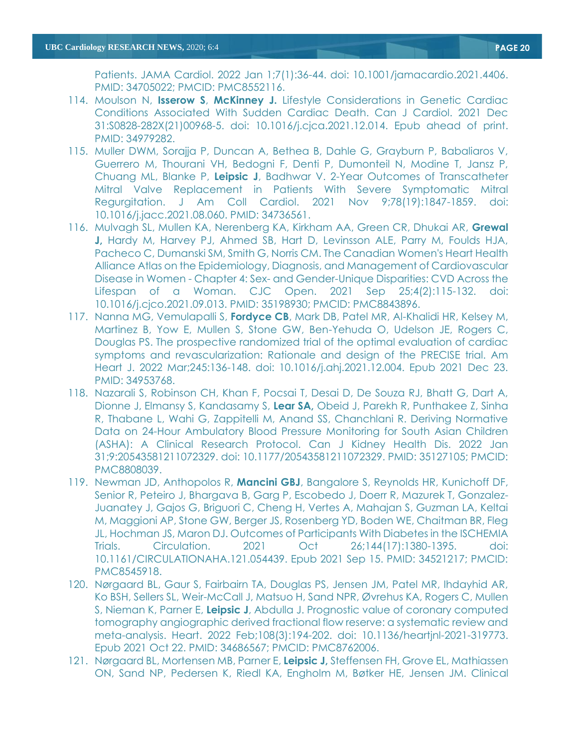- 114. Moulson N, **Isserow S**, **McKinney J.** Lifestyle Considerations in Genetic Cardiac Conditions Associated With Sudden Cardiac Death. Can J Cardiol. 2021 Dec 31:S0828-282X(21)00968-5. doi: 10.1016/j.cjca.2021.12.014. Epub ahead of print. PMID: 34979282.
- 115. Muller DWM, Sorajja P, Duncan A, Bethea B, Dahle G, Grayburn P, Babaliaros V, Guerrero M, Thourani VH, Bedogni F, Denti P, Dumonteil N, Modine T, Jansz P, Chuang ML, Blanke P, **Leipsic J**, Badhwar V. 2-Year Outcomes of Transcatheter Mitral Valve Replacement in Patients With Severe Symptomatic Mitral Regurgitation. J Am Coll Cardiol. 2021 Nov 9;78(19):1847-1859. doi: 10.1016/j.jacc.2021.08.060. PMID: 34736561.
- 116. Mulvagh SL, Mullen KA, Nerenberg KA, Kirkham AA, Green CR, Dhukai AR, **Grewal J,** Hardy M, Harvey PJ, Ahmed SB, Hart D, Levinsson ALE, Parry M, Foulds HJA, Pacheco C, Dumanski SM, Smith G, Norris CM. The Canadian Women's Heart Health Alliance Atlas on the Epidemiology, Diagnosis, and Management of Cardiovascular Disease in Women - Chapter 4: Sex- and Gender-Unique Disparities: CVD Across the Lifespan of a Woman. CJC Open. 2021 Sep 25;4(2):115-132. doi: 10.1016/j.cjco.2021.09.013. PMID: 35198930; PMCID: PMC8843896.
- 117. Nanna MG, Vemulapalli S, **Fordyce CB**, Mark DB, Patel MR, Al-Khalidi HR, Kelsey M, Martinez B, Yow E, Mullen S, Stone GW, Ben-Yehuda O, Udelson JE, Rogers C, Douglas PS. The prospective randomized trial of the optimal evaluation of cardiac symptoms and revascularization: Rationale and design of the PRECISE trial. Am Heart J. 2022 Mar;245:136-148. doi: 10.1016/j.ahj.2021.12.004. Epub 2021 Dec 23. PMID: 34953768.
- 118. Nazarali S, Robinson CH, Khan F, Pocsai T, Desai D, De Souza RJ, Bhatt G, Dart A, Dionne J, Elmansy S, Kandasamy S, **Lear SA,** Obeid J, Parekh R, Punthakee Z, Sinha R, Thabane L, Wahi G, Zappitelli M, Anand SS, Chanchlani R. Deriving Normative Data on 24-Hour Ambulatory Blood Pressure Monitoring for South Asian Children (ASHA): A Clinical Research Protocol. Can J Kidney Health Dis. 2022 Jan 31;9:20543581211072329. doi: 10.1177/20543581211072329. PMID: 35127105; PMCID: PMC8808039.
- 119. Newman JD, Anthopolos R, **Mancini GBJ**, Bangalore S, Reynolds HR, Kunichoff DF, Senior R, Peteiro J, Bhargava B, Garg P, Escobedo J, Doerr R, Mazurek T, Gonzalez-Juanatey J, Gajos G, Briguori C, Cheng H, Vertes A, Mahajan S, Guzman LA, Keltai M, Maggioni AP, Stone GW, Berger JS, Rosenberg YD, Boden WE, Chaitman BR, Fleg JL, Hochman JS, Maron DJ. Outcomes of Participants With Diabetes in the ISCHEMIA Trials. Circulation. 2021 Oct 26;144(17):1380-1395. doi: 10.1161/CIRCULATIONAHA.121.054439. Epub 2021 Sep 15. PMID: 34521217; PMCID: PMC8545918.
- 120. Nørgaard BL, Gaur S, Fairbairn TA, Douglas PS, Jensen JM, Patel MR, Ihdayhid AR, Ko BSH, Sellers SL, Weir-McCall J, Matsuo H, Sand NPR, Øvrehus KA, Rogers C, Mullen S, Nieman K, Parner E, **Leipsic J**, Abdulla J. Prognostic value of coronary computed tomography angiographic derived fractional flow reserve: a systematic review and meta-analysis. Heart. 2022 Feb;108(3):194-202. doi: 10.1136/heartjnl-2021-319773. Epub 2021 Oct 22. PMID: 34686567; PMCID: PMC8762006.
- 121. Nørgaard BL, Mortensen MB, Parner E, **Leipsic J,** Steffensen FH, Grove EL, Mathiassen ON, Sand NP, Pedersen K, Riedl KA, Engholm M, Bøtker HE, Jensen JM. Clinical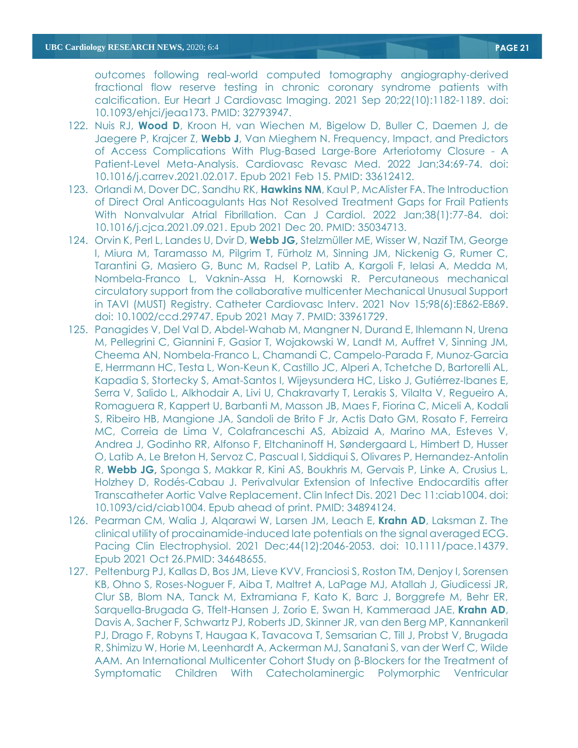outcomes following real-world computed tomography angiography-derived fractional flow reserve testing in chronic coronary syndrome patients with calcification. Eur Heart J Cardiovasc Imaging. 2021 Sep 20;22(10):1182-1189. doi: 10.1093/ehjci/jeaa173. PMID: 32793947.

- 122. Nuis RJ, **Wood D**, Kroon H, van Wiechen M, Bigelow D, Buller C, Daemen J, de Jaegere P, Krajcer Z, **Webb J**, Van Mieghem N. Frequency, Impact, and Predictors of Access Complications With Plug-Based Large-Bore Arteriotomy Closure - A Patient-Level Meta-Analysis. Cardiovasc Revasc Med. 2022 Jan;34:69-74. doi: 10.1016/j.carrev.2021.02.017. Epub 2021 Feb 15. PMID: 33612412.
- 123. Orlandi M, Dover DC, Sandhu RK, **Hawkins NM**, Kaul P, McAlister FA. The Introduction of Direct Oral Anticoagulants Has Not Resolved Treatment Gaps for Frail Patients With Nonvalvular Atrial Fibrillation. Can J Cardiol. 2022 Jan;38(1):77-84. doi: 10.1016/j.cjca.2021.09.021. Epub 2021 Dec 20. PMID: 35034713.
- 124. Orvin K, Perl L, Landes U, Dvir D, **Webb JG,** Stelzmüller ME, Wisser W, Nazif TM, George I, Miura M, Taramasso M, Pilgrim T, Fürholz M, Sinning JM, Nickenig G, Rumer C, Tarantini G, Masiero G, Bunc M, Radsel P, Latib A, Kargoli F, Ielasi A, Medda M, Nombela-Franco L, Vaknin-Assa H, Kornowski R. Percutaneous mechanical circulatory support from the collaborative multicenter Mechanical Unusual Support in TAVI (MUST) Registry. Catheter Cardiovasc Interv. 2021 Nov 15;98(6):E862-E869. doi: 10.1002/ccd.29747. Epub 2021 May 7. PMID: 33961729.
- 125. Panagides V, Del Val D, Abdel-Wahab M, Mangner N, Durand E, Ihlemann N, Urena M, Pellegrini C, Giannini F, Gasior T, Wojakowski W, Landt M, Auffret V, Sinning JM, Cheema AN, Nombela-Franco L, Chamandi C, Campelo-Parada F, Munoz-Garcia E, Herrmann HC, Testa L, Won-Keun K, Castillo JC, Alperi A, Tchetche D, Bartorelli AL, Kapadia S, Stortecky S, Amat-Santos I, Wijeysundera HC, Lisko J, Gutiérrez-Ibanes E, Serra V, Salido L, Alkhodair A, Livi U, Chakravarty T, Lerakis S, Vilalta V, Regueiro A, Romaguera R, Kappert U, Barbanti M, Masson JB, Maes F, Fiorina C, Miceli A, Kodali S, Ribeiro HB, Mangione JA, Sandoli de Brito F Jr, Actis Dato GM, Rosato F, Ferreira MC, Correia de Lima V, Colafranceschi AS, Abizaid A, Marino MA, Esteves V, Andrea J, Godinho RR, Alfonso F, Eltchaninoff H, Søndergaard L, Himbert D, Husser O, Latib A, Le Breton H, Servoz C, Pascual I, Siddiqui S, Olivares P, Hernandez-Antolin R, **Webb JG,** Sponga S, Makkar R, Kini AS, Boukhris M, Gervais P, Linke A, Crusius L, Holzhey D, Rodés-Cabau J. Perivalvular Extension of Infective Endocarditis after Transcatheter Aortic Valve Replacement. Clin Infect Dis. 2021 Dec 11:ciab1004. doi: 10.1093/cid/ciab1004. Epub ahead of print. PMID: 34894124.
- 126. Pearman CM, Walia J, Alqarawi W, Larsen JM, Leach E, **Krahn AD**, Laksman Z. [The](https://pubmed.ncbi.nlm.nih.gov/34648655/)  [clinical utility of procainamide-induced late potentials on the signal averaged ECG.](https://pubmed.ncbi.nlm.nih.gov/34648655/) Pacing Clin Electrophysiol. 2021 Dec;44(12):2046-2053. doi: 10.1111/pace.14379. Epub 2021 Oct 26.PMID: 34648655.
- 127. Peltenburg PJ, Kallas D, Bos JM, Lieve KVV, Franciosi S, Roston TM, Denjoy I, Sorensen KB, Ohno S, Roses-Noguer F, Aiba T, Maltret A, LaPage MJ, Atallah J, Giudicessi JR, Clur SB, Blom NA, Tanck M, Extramiana F, Kato K, Barc J, Borggrefe M, Behr ER, Sarquella-Brugada G, Tfelt-Hansen J, Zorio E, Swan H, Kammeraad JAE, **Krahn AD**, Davis A, Sacher F, Schwartz PJ, Roberts JD, Skinner JR, van den Berg MP, Kannankeril PJ, Drago F, Robyns T, Haugaa K, Tavacova T, Semsarian C, Till J, Probst V, Brugada R, Shimizu W, Horie M, Leenhardt A, Ackerman MJ, Sanatani S, van der Werf C, Wilde AAM. [An International Multicenter Cohort Study on β](https://pubmed.ncbi.nlm.nih.gov/34874747/)-Blockers for the Treatment of [Symptomatic Children With Catecholaminergic Polymorphic Ventricular](https://pubmed.ncbi.nlm.nih.gov/34874747/)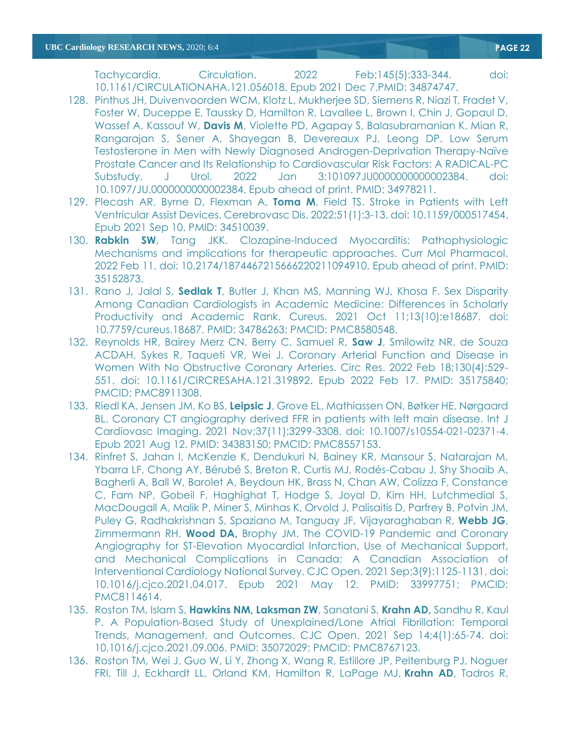[Tachycardia.](https://pubmed.ncbi.nlm.nih.gov/34874747/) Circulation. 2022 Feb;145(5):333-344. doi: 10.1161/CIRCULATIONAHA.121.056018. Epub 2021 Dec 7.PMID: 34874747.

- 128. Pinthus JH, Duivenvoorden WCM, Klotz L, Mukherjee SD, Siemens R, Niazi T, Fradet V, Foster W, Duceppe E, Taussky D, Hamilton R, Lavallee L, Brown I, Chin J, Gopaul D, Wassef A, Kassouf W, **Davis M**, Violette PD, Agapay S, Balasubramanian K, Mian R, Rangarajan S, Sener A, Shayegan B, Devereaux PJ, Leong DP. Low Serum Testosterone in Men with Newly Diagnosed Androgen-Deprivation Therapy-Naïve Prostate Cancer and Its Relationship to Cardiovascular Risk Factors: A RADICAL-PC Substudy. J Urol. 2022 Jan 3:101097JU0000000000002384. doi: 10.1097/JU.0000000000002384. Epub ahead of print. PMID: 34978211.
- 129. Plecash AR, Byrne D, Flexman A, **Toma M**, Field TS. Stroke in Patients with Left Ventricular Assist Devices. Cerebrovasc Dis. 2022;51(1):3-13. doi: 10.1159/000517454. Epub 2021 Sep 10. PMID: 34510039.
- 130. **Rabkin SW**, Tang JKK. Clozapine-Induced Myocarditis: Pathophysiologic Mechanisms and implications for therapeutic approaches. Curr Mol Pharmacol. 2022 Feb 11. doi: 10.2174/1874467215666220211094910. Epub ahead of print. PMID: 35152873.
- 131. Rano J, Jalal S, **Sedlak T**, Butler J, Khan MS, Manning WJ, Khosa F. Sex Disparity Among Canadian Cardiologists in Academic Medicine: Differences in Scholarly Productivity and Academic Rank. Cureus. 2021 Oct 11;13(10):e18687. doi: 10.7759/cureus.18687. PMID: 34786263; PMCID: PMC8580548.
- 132. Reynolds HR, Bairey Merz CN, Berry C, Samuel R, **Saw J**, Smilowitz NR, de Souza ACDAH, Sykes R, Taqueti VR, Wei J. Coronary Arterial Function and Disease in Women With No Obstructive Coronary Arteries. Circ Res. 2022 Feb 18;130(4):529- 551. doi: 10.1161/CIRCRESAHA.121.319892. Epub 2022 Feb 17. PMID: 35175840; PMCID: PMC8911308.
- 133. Riedl KA, Jensen JM, Ko BS, **Leipsic J**, Grove EL, Mathiassen ON, Bøtker HE, Nørgaard BL. Coronary CT angiography derived FFR in patients with left main disease. Int J Cardiovasc Imaging. 2021 Nov;37(11):3299-3308. doi: 10.1007/s10554-021-02371-4. Epub 2021 Aug 12. PMID: 34383150; PMCID: PMC8557153.
- 134. Rinfret S, Jahan I, McKenzie K, Dendukuri N, Bainey KR, Mansour S, Natarajan M, Ybarra LF, Chong AY, Bérubé S, Breton R, Curtis MJ, Rodés-Cabau J, Shy Shoaib A, Bagherli A, Ball W, Barolet A, Beydoun HK, Brass N, Chan AW, Colizza F, Constance C, Fam NP, Gobeil F, Haghighat T, Hodge S, Joyal D, Kim HH, Lutchmedial S, MacDougall A, Malik P, Miner S, Minhas K, Orvold J, Palisaitis D, Parfrey B, Potvin JM, Puley G, Radhakrishnan S, Spaziano M, Tanguay JF, Vijayaraghaban R, **Webb JG**, Zimmermann RH, **Wood DA,** Brophy JM. The COVID-19 Pandemic and Coronary Angiography for ST-Elevation Myocardial Infarction, Use of Mechanical Support, and Mechanical Complications in Canada: A Canadian Association of Interventional Cardiology National Survey. CJC Open. 2021 Sep;3(9):1125-1131. doi: 10.1016/j.cjco.2021.04.017. Epub 2021 May 12. PMID: 33997751; PMCID: PMC8114614.
- 135. Roston TM, Islam S, **Hawkins NM, Laksman ZW**, Sanatani S, **Krahn AD,** Sandhu R, Kaul P. A Population-Based Study of Unexplained/Lone Atrial Fibrillation: Temporal Trends, Management, and Outcomes. CJC Open. 2021 Sep 14;4(1):65-74. doi: 10.1016/j.cjco.2021.09.006. PMID: 35072029; PMCID: PMC8767123.
- 136. Roston TM, Wei J, Guo W, Li Y, Zhong X, Wang R, Estillore JP, Peltenburg PJ, Noguer FRI, Till J, Eckhardt LL, Orland KM, Hamilton R, LaPage MJ, **Krahn AD**, Tadros R,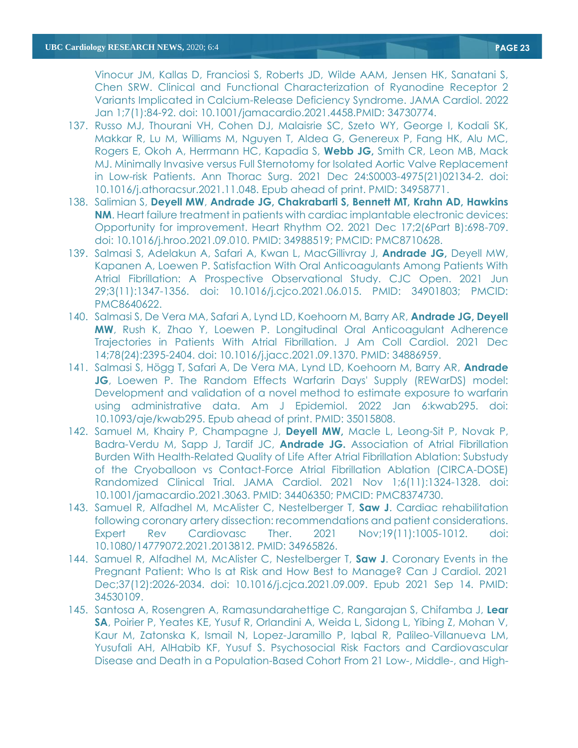Vinocur JM, Kallas D, Franciosi S, Roberts JD, Wilde AAM, Jensen HK, Sanatani S, Chen SRW. [Clinical and Functional Characterization of Ryanodine Receptor 2](https://pubmed.ncbi.nlm.nih.gov/34730774/)  [Variants Implicated in Calcium-Release Deficiency Syndrome.](https://pubmed.ncbi.nlm.nih.gov/34730774/) JAMA Cardiol. 2022 Jan 1;7(1):84-92. doi: 10.1001/jamacardio.2021.4458.PMID: 34730774.

- 137. Russo MJ, Thourani VH, Cohen DJ, Malaisrie SC, Szeto WY, George I, Kodali SK, Makkar R, Lu M, Williams M, Nguyen T, Aldea G, Genereux P, Fang HK, Alu MC, Rogers E, Okoh A, Herrmann HC, Kapadia S, **Webb JG,** Smith CR, Leon MB, Mack MJ. Minimally Invasive versus Full Sternotomy for Isolated Aortic Valve Replacement in Low-risk Patients. Ann Thorac Surg. 2021 Dec 24:S0003-4975(21)02134-2. doi: 10.1016/j.athoracsur.2021.11.048. Epub ahead of print. PMID: 34958771.
- 138. Salimian S, **Deyell MW**, **Andrade JG, Chakrabarti S, Bennett MT, Krahn AD, Hawkins NM.** Heart failure treatment in patients with cardiac implantable electronic devices: Opportunity for improvement. Heart Rhythm O2. 2021 Dec 17;2(6Part B):698-709. doi: 10.1016/j.hroo.2021.09.010. PMID: 34988519; PMCID: PMC8710628.
- 139. Salmasi S, Adelakun A, Safari A, Kwan L, MacGillivray J, **Andrade JG,** Deyell MW, Kapanen A, Loewen P. Satisfaction With Oral Anticoagulants Among Patients With Atrial Fibrillation: A Prospective Observational Study. CJC Open. 2021 Jun 29;3(11):1347-1356. doi: 10.1016/j.cjco.2021.06.015. PMID: 34901803; PMCID: PMC8640622.
- 140. Salmasi S, De Vera MA, Safari A, Lynd LD, Koehoorn M, Barry AR, **Andrade JG, Deyell MW**, Rush K, Zhao Y, Loewen P. Longitudinal Oral Anticoagulant Adherence Trajectories in Patients With Atrial Fibrillation. J Am Coll Cardiol. 2021 Dec 14;78(24):2395-2404. doi: 10.1016/j.jacc.2021.09.1370. PMID: 34886959.
- 141. Salmasi S, Högg T, Safari A, De Vera MA, Lynd LD, Koehoorn M, Barry AR, **Andrade JG**, Loewen P. The Random Effects Warfarin Days' Supply (REWarDS) model: Development and validation of a novel method to estimate exposure to warfarin using administrative data. Am J Epidemiol. 2022 Jan 6:kwab295. doi: 10.1093/aje/kwab295. Epub ahead of print. PMID: 35015808.
- 142. Samuel M, Khairy P, Champagne J, **Deyell MW,** Macle L, Leong-Sit P, Novak P, Badra-Verdu M, Sapp J, Tardif JC, **Andrade JG.** Association of Atrial Fibrillation Burden With Health-Related Quality of Life After Atrial Fibrillation Ablation: Substudy of the Cryoballoon vs Contact-Force Atrial Fibrillation Ablation (CIRCA-DOSE) Randomized Clinical Trial. JAMA Cardiol. 2021 Nov 1;6(11):1324-1328. doi: 10.1001/jamacardio.2021.3063. PMID: 34406350; PMCID: PMC8374730.
- 143. Samuel R, Alfadhel M, McAlister C, Nestelberger T, **Saw J**. Cardiac rehabilitation following coronary artery dissection: recommendations and patient considerations. Expert Rev Cardiovasc Ther. 2021 Nov;19(11):1005-1012. doi: 10.1080/14779072.2021.2013812. PMID: 34965826.
- 144. Samuel R, Alfadhel M, McAlister C, Nestelberger T, **Saw J**. Coronary Events in the Pregnant Patient: Who Is at Risk and How Best to Manage? Can J Cardiol. 2021 Dec;37(12):2026-2034. doi: 10.1016/j.cjca.2021.09.009. Epub 2021 Sep 14. PMID: 34530109.
- 145. Santosa A, Rosengren A, Ramasundarahettige C, Rangarajan S, Chifamba J, **Lear SA**, Poirier P, Yeates KE, Yusuf R, Orlandini A, Weida L, Sidong L, Yibing Z, Mohan V, Kaur M, Zatonska K, Ismail N, Lopez-Jaramillo P, Iqbal R, Palileo-Villanueva LM, Yusufali AH, AlHabib KF, Yusuf S. Psychosocial Risk Factors and Cardiovascular Disease and Death in a Population-Based Cohort From 21 Low-, Middle-, and High-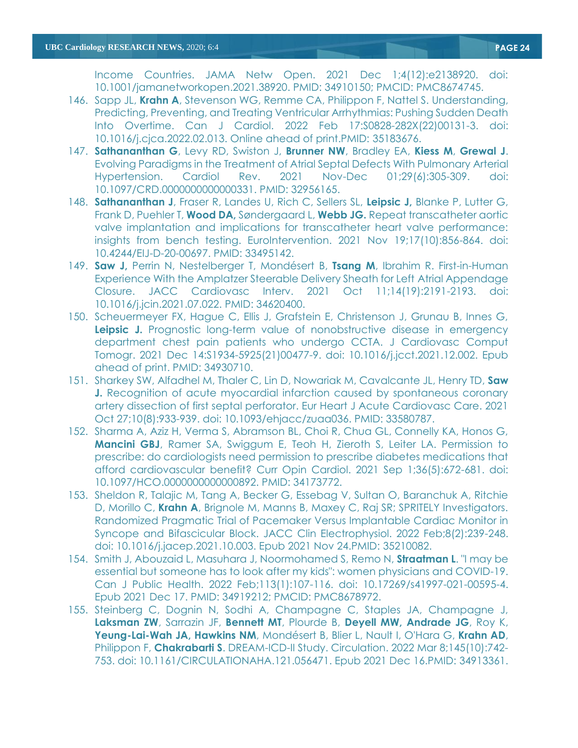Income Countries. JAMA Netw Open. 2021 Dec 1;4(12):e2138920. doi: 10.1001/jamanetworkopen.2021.38920. PMID: 34910150; PMCID: PMC8674745.

- 146. Sapp JL, **Krahn A**, Stevenson WG, Remme CA, Philippon F, Nattel S. [Understanding,](https://pubmed.ncbi.nlm.nih.gov/35183676/)  [Predicting, Preventing, and Treating Ventricular Arrhythmias: Pushing Sudden Death](https://pubmed.ncbi.nlm.nih.gov/35183676/)  [Into Overtime.](https://pubmed.ncbi.nlm.nih.gov/35183676/) Can J Cardiol. 2022 Feb 17:S0828-282X(22)00131-3. doi: 10.1016/j.cjca.2022.02.013. Online ahead of print.PMID: 35183676.
- 147. **Sathananthan G**, Levy RD, Swiston J, **Brunner NW**, Bradley EA, **Kiess M**, **Grewal J**. Evolving Paradigms in the Treatment of Atrial Septal Defects With Pulmonary Arterial Hypertension. Cardiol Rev. 2021 Nov-Dec 01;29(6):305-309. doi: 10.1097/CRD.0000000000000331. PMID: 32956165.
- 148. **Sathananthan J**, Fraser R, Landes U, Rich C, Sellers SL, **Leipsic J,** Blanke P, Lutter G, Frank D, Puehler T, **Wood DA,** Søndergaard L, **Webb JG.** Repeat transcatheter aortic valve implantation and implications for transcatheter heart valve performance: insights from bench testing. EuroIntervention. 2021 Nov 19;17(10):856-864. doi: 10.4244/EIJ-D-20-00697. PMID: 33495142.
- 149. **Saw J,** Perrin N, Nestelberger T, Mondésert B, **Tsang M**, Ibrahim R. First-in-Human Experience With the Amplatzer Steerable Delivery Sheath for Left Atrial Appendage Closure. JACC Cardiovasc Interv. 2021 Oct 11;14(19):2191-2193. doi: 10.1016/j.jcin.2021.07.022. PMID: 34620400.
- 150. Scheuermeyer FX, Hague C, Ellis J, Grafstein E, Christenson J, Grunau B, Innes G, **Leipsic J.** Prognostic long-term value of nonobstructive disease in emergency department chest pain patients who undergo CCTA. J Cardiovasc Comput Tomogr. 2021 Dec 14:S1934-5925(21)00477-9. doi: 10.1016/j.jcct.2021.12.002. Epub ahead of print. PMID: 34930710.
- 151. Sharkey SW, Alfadhel M, Thaler C, Lin D, Nowariak M, Cavalcante JL, Henry TD, **Saw J.** Recognition of acute myocardial infarction caused by spontaneous coronary artery dissection of first septal perforator. Eur Heart J Acute Cardiovasc Care. 2021 Oct 27;10(8):933-939. doi: 10.1093/ehjacc/zuaa036. PMID: 33580787.
- 152. Sharma A, Aziz H, Verma S, Abramson BL, Choi R, Chua GL, Connelly KA, Honos G, **Mancini GBJ**, Ramer SA, Swiggum E, Teoh H, Zieroth S, Leiter LA. Permission to prescribe: do cardiologists need permission to prescribe diabetes medications that afford cardiovascular benefit? Curr Opin Cardiol. 2021 Sep 1;36(5):672-681. doi: 10.1097/HCO.0000000000000892. PMID: 34173772.
- 153. Sheldon R, Talajic M, Tang A, Becker G, Essebag V, Sultan O, Baranchuk A, Ritchie D, Morillo C, **Krahn A**, Brignole M, Manns B, Maxey C, Raj SR; SPRITELY Investigators. [Randomized Pragmatic Trial of Pacemaker Versus Implantable Cardiac Monitor in](https://pubmed.ncbi.nlm.nih.gov/35210082/)  [Syncope and Bifascicular Block.](https://pubmed.ncbi.nlm.nih.gov/35210082/) JACC Clin Electrophysiol. 2022 Feb;8(2):239-248. doi: 10.1016/j.jacep.2021.10.003. Epub 2021 Nov 24.PMID: 35210082.
- 154. Smith J, Abouzaid L, Masuhara J, Noormohamed S, Remo N, **Straatman L**. "I may be essential but someone has to look after my kids": women physicians and COVID-19. Can J Public Health. 2022 Feb;113(1):107-116. doi: 10.17269/s41997-021-00595-4. Epub 2021 Dec 17. PMID: 34919212; PMCID: PMC8678972.
- 155. Steinberg C, Dognin N, Sodhi A, Champagne C, Staples JA, Champagne J, **Laksman ZW**, Sarrazin JF, **Bennett MT**, Plourde B, **Deyell MW, Andrade JG**, Roy K, **Yeung-Lai-Wah JA, Hawkins NM**, Mondésert B, Blier L, Nault I, O'Hara G, **Krahn AD**, Philippon F, **Chakrabarti S**. [DREAM-ICD-II Study.](https://pubmed.ncbi.nlm.nih.gov/34913361/) Circulation. 2022 Mar 8;145(10):742- 753. doi: 10.1161/CIRCULATIONAHA.121.056471. Epub 2021 Dec 16.PMID: 34913361.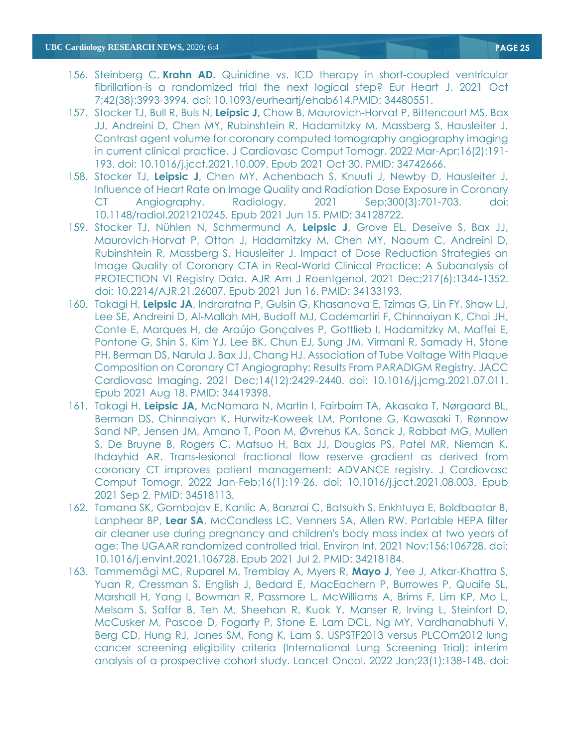- 156. Steinberg C, **Krahn AD.** [Quinidine vs. ICD therapy in short-coupled ventricular](https://pubmed.ncbi.nlm.nih.gov/34480551/)  [fibrillation-is a randomized trial the next logical step?](https://pubmed.ncbi.nlm.nih.gov/34480551/) Eur Heart J. 2021 Oct 7;42(38):3993-3994. doi: 10.1093/eurheartj/ehab614.PMID: 34480551.
- 157. Stocker TJ, Bull R, Buls N, **Leipsic J,** Chow B, Maurovich-Horvat P, Bittencourt MS, Bax JJ, Andreini D, Chen MY, Rubinshtein R, Hadamitzky M, Massberg S, Hausleiter J. Contrast agent volume for coronary computed tomography angiography imaging in current clinical practice. J Cardiovasc Comput Tomogr. 2022 Mar-Apr;16(2):191- 193. doi: 10.1016/j.jcct.2021.10.009. Epub 2021 Oct 30. PMID: 34742666.
- 158. Stocker TJ, **Leipsic J**, Chen MY, Achenbach S, Knuuti J, Newby D, Hausleiter J. Influence of Heart Rate on Image Quality and Radiation Dose Exposure in Coronary CT Angiography. Radiology. 2021 Sep;300(3):701-703. doi: 10.1148/radiol.2021210245. Epub 2021 Jun 15. PMID: 34128722.
- 159. Stocker TJ, Nühlen N, Schmermund A, **Leipsic J**, Grove EL, Deseive S, Bax JJ, Maurovich-Horvat P, Otton J, Hadamitzky M, Chen MY, Naoum C, Andreini D, Rubinshtein R, Massberg S, Hausleiter J. Impact of Dose Reduction Strategies on Image Quality of Coronary CTA in Real-World Clinical Practice: A Subanalysis of PROTECTION VI Registry Data. AJR Am J Roentgenol. 2021 Dec;217(6):1344-1352. doi: 10.2214/AJR.21.26007. Epub 2021 Jun 16. PMID: 34133193.
- 160. Takagi H, **Leipsic JA**, Indraratna P, Gulsin G, Khasanova E, Tzimas G, Lin FY, Shaw LJ, Lee SE, Andreini D, Al-Mallah MH, Budoff MJ, Cademartiri F, Chinnaiyan K, Choi JH, Conte E, Marques H, de Araújo Gonçalves P, Gottlieb I, Hadamitzky M, Maffei E, Pontone G, Shin S, Kim YJ, Lee BK, Chun EJ, Sung JM, Virmani R, Samady H, Stone PH, Berman DS, Narula J, Bax JJ, Chang HJ. Association of Tube Voltage With Plaque Composition on Coronary CT Angiography: Results From PARADIGM Registry. JACC Cardiovasc Imaging. 2021 Dec;14(12):2429-2440. doi: 10.1016/j.jcmg.2021.07.011. Epub 2021 Aug 18. PMID: 34419398.
- 161. Takagi H, **Leipsic JA,** McNamara N, Martin I, Fairbairn TA, Akasaka T, Nørgaard BL, Berman DS, Chinnaiyan K, Hurwitz-Koweek LM, Pontone G, Kawasaki T, Rønnow Sand NP, Jensen JM, Amano T, Poon M, Øvrehus KA, Sonck J, Rabbat MG, Mullen S, De Bruyne B, Rogers C, Matsuo H, Bax JJ, Douglas PS, Patel MR, Nieman K, Ihdayhid AR. Trans-lesional fractional flow reserve gradient as derived from coronary CT improves patient management: ADVANCE registry. J Cardiovasc Comput Tomogr. 2022 Jan-Feb;16(1):19-26. doi: 10.1016/j.jcct.2021.08.003. Epub 2021 Sep 2. PMID: 34518113.
- 162. Tamana SK, Gombojav E, Kanlic A, Banzrai C, Batsukh S, Enkhtuya E, Boldbaatar B, Lanphear BP, **Lear SA**, McCandless LC, Venners SA, Allen RW. Portable HEPA filter air cleaner use during pregnancy and children's body mass index at two years of age: The UGAAR randomized controlled trial. Environ Int. 2021 Nov;156:106728. doi: 10.1016/j.envint.2021.106728. Epub 2021 Jul 2. PMID: 34218184.
- 163. Tammemägi MC, Ruparel M, Tremblay A, Myers R, **Mayo J**, Yee J, Atkar-Khattra S, Yuan R, Cressman S, English J, Bedard E, MacEachern P, Burrowes P, Quaife SL, Marshall H, Yang I, Bowman R, Passmore L, McWilliams A, Brims F, Lim KP, Mo L, Melsom S, Saffar B, Teh M, Sheehan R, Kuok Y, Manser R, Irving L, Steinfort D, McCusker M, Pascoe D, Fogarty P, Stone E, Lam DCL, Ng MY, Vardhanabhuti V, Berg CD, Hung RJ, Janes SM, Fong K, Lam S. USPSTF2013 versus PLCOm2012 lung cancer screening eligibility criteria (International Lung Screening Trial): interim analysis of a prospective cohort study. Lancet Oncol. 2022 Jan;23(1):138-148. doi: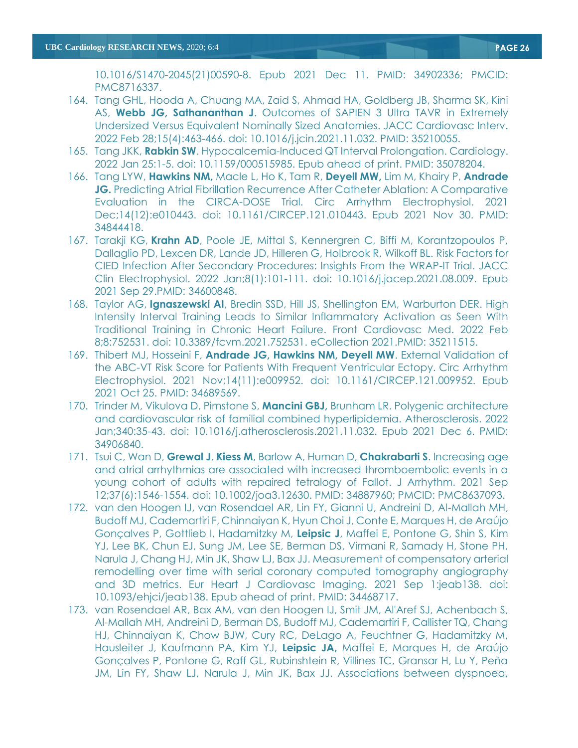10.1016/S1470-2045(21)00590-8. Epub 2021 Dec 11. PMID: 34902336; PMCID: PMC8716337.

- 164. Tang GHL, Hooda A, Chuang MA, Zaid S, Ahmad HA, Goldberg JB, Sharma SK, Kini AS, **Webb JG, Sathananthan J**. Outcomes of SAPIEN 3 Ultra TAVR in Extremely Undersized Versus Equivalent Nominally Sized Anatomies. JACC Cardiovasc Interv. 2022 Feb 28;15(4):463-466. doi: 10.1016/j.jcin.2021.11.032. PMID: 35210055.
- 165. Tang JKK, **Rabkin SW**. Hypocalcemia-Induced QT Interval Prolongation. Cardiology. 2022 Jan 25:1-5. doi: 10.1159/000515985. Epub ahead of print. PMID: 35078204.
- 166. Tang LYW, **Hawkins NM,** Macle L, Ho K, Tam R, **Deyell MW,** Lim M, Khairy P, **Andrade JG.** Predicting Atrial Fibrillation Recurrence After Catheter Ablation: A Comparative Evaluation in the CIRCA-DOSE Trial. Circ Arrhythm Electrophysiol. 2021 Dec;14(12):e010443. doi: 10.1161/CIRCEP.121.010443. Epub 2021 Nov 30. PMID: 34844418.
- 167. Tarakji KG, **Krahn AD**, Poole JE, Mittal S, Kennergren C, Biffi M, Korantzopoulos P, Dallaglio PD, Lexcen DR, Lande JD, Hilleren G, Holbrook R, Wilkoff BL. [Risk Factors for](https://pubmed.ncbi.nlm.nih.gov/34600848/)  [CIED Infection After Secondary Procedures: Insights From the WRAP-IT Trial.](https://pubmed.ncbi.nlm.nih.gov/34600848/) JACC Clin Electrophysiol. 2022 Jan;8(1):101-111. doi: 10.1016/j.jacep.2021.08.009. Epub 2021 Sep 29.PMID: 34600848.
- 168. Taylor AG, **Ignaszewski AI**, Bredin SSD, Hill JS, Shellington EM, Warburton DER. [High](https://pubmed.ncbi.nlm.nih.gov/35211515/)  [Intensity Interval Training Leads to Similar Inflammatory Activation as Seen With](https://pubmed.ncbi.nlm.nih.gov/35211515/)  [Traditional Training in Chronic Heart Failure.](https://pubmed.ncbi.nlm.nih.gov/35211515/) Front Cardiovasc Med. 2022 Feb 8;8:752531. doi: 10.3389/fcvm.2021.752531. eCollection 2021.PMID: 35211515.
- 169. Thibert MJ, Hosseini F, **Andrade JG, Hawkins NM, Deyell MW**. External Validation of the ABC-VT Risk Score for Patients With Frequent Ventricular Ectopy. Circ Arrhythm Electrophysiol. 2021 Nov;14(11):e009952. doi: 10.1161/CIRCEP.121.009952. Epub 2021 Oct 25. PMID: 34689569.
- 170. Trinder M, Vikulova D, Pimstone S, **Mancini GBJ,** Brunham LR. Polygenic architecture and cardiovascular risk of familial combined hyperlipidemia. Atherosclerosis. 2022 Jan;340:35-43. doi: 10.1016/j.atherosclerosis.2021.11.032. Epub 2021 Dec 6. PMID: 34906840.
- 171. Tsui C, Wan D, **Grewal J**, **Kiess M**, Barlow A, Human D, **Chakrabarti S**. Increasing age and atrial arrhythmias are associated with increased thromboembolic events in a young cohort of adults with repaired tetralogy of Fallot. J Arrhythm. 2021 Sep 12;37(6):1546-1554. doi: 10.1002/joa3.12630. PMID: 34887960; PMCID: PMC8637093.
- 172. van den Hoogen IJ, van Rosendael AR, Lin FY, Gianni U, Andreini D, Al-Mallah MH, Budoff MJ, Cademartiri F, Chinnaiyan K, Hyun Choi J, Conte E, Marques H, de Araújo Gonçalves P, Gottlieb I, Hadamitzky M, **Leipsic J**, Maffei E, Pontone G, Shin S, Kim YJ, Lee BK, Chun EJ, Sung JM, Lee SE, Berman DS, Virmani R, Samady H, Stone PH, Narula J, Chang HJ, Min JK, Shaw LJ, Bax JJ. Measurement of compensatory arterial remodelling over time with serial coronary computed tomography angiography and 3D metrics. Eur Heart J Cardiovasc Imaging. 2021 Sep 1:jeab138. doi: 10.1093/ehjci/jeab138. Epub ahead of print. PMID: 34468717.
- 173. van Rosendael AR, Bax AM, van den Hoogen IJ, Smit JM, Al'Aref SJ, Achenbach S, Al-Mallah MH, Andreini D, Berman DS, Budoff MJ, Cademartiri F, Callister TQ, Chang HJ, Chinnaiyan K, Chow BJW, Cury RC, DeLago A, Feuchtner G, Hadamitzky M, Hausleiter J, Kaufmann PA, Kim YJ, **Leipsic JA,** Maffei E, Marques H, de Araújo Gonçalves P, Pontone G, Raff GL, Rubinshtein R, Villines TC, Gransar H, Lu Y, Peña JM, Lin FY, Shaw LJ, Narula J, Min JK, Bax JJ. Associations between dyspnoea,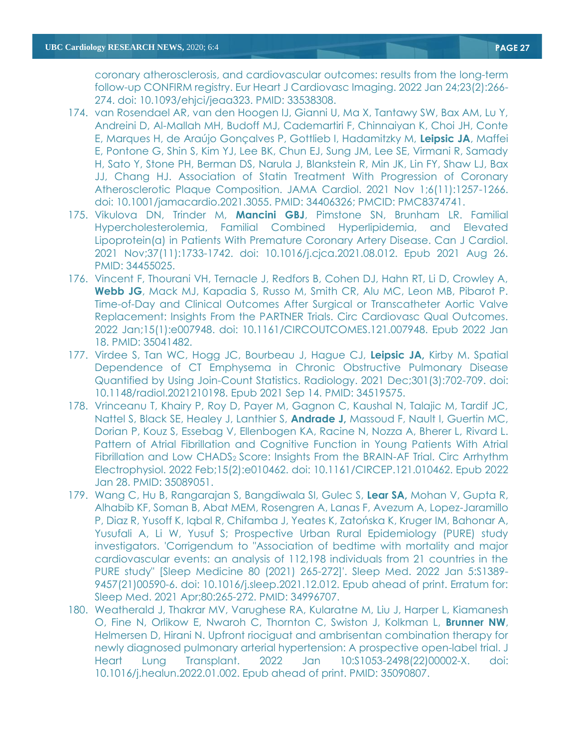coronary atherosclerosis, and cardiovascular outcomes: results from the long-term follow-up CONFIRM registry. Eur Heart J Cardiovasc Imaging. 2022 Jan 24;23(2):266- 274. doi: 10.1093/ehjci/jeaa323. PMID: 33538308.

- 174. van Rosendael AR, van den Hoogen IJ, Gianni U, Ma X, Tantawy SW, Bax AM, Lu Y, Andreini D, Al-Mallah MH, Budoff MJ, Cademartiri F, Chinnaiyan K, Choi JH, Conte E, Marques H, de Araújo Gonçalves P, Gottlieb I, Hadamitzky M, **Leipsic JA**, Maffei E, Pontone G, Shin S, Kim YJ, Lee BK, Chun EJ, Sung JM, Lee SE, Virmani R, Samady H, Sato Y, Stone PH, Berman DS, Narula J, Blankstein R, Min JK, Lin FY, Shaw LJ, Bax JJ, Chang HJ. Association of Statin Treatment With Progression of Coronary Atherosclerotic Plaque Composition. JAMA Cardiol. 2021 Nov 1;6(11):1257-1266. doi: 10.1001/jamacardio.2021.3055. PMID: 34406326; PMCID: PMC8374741.
- 175. Vikulova DN, Trinder M, **Mancini GBJ**, Pimstone SN, Brunham LR. Familial Hypercholesterolemia, Familial Combined Hyperlipidemia, and Elevated Lipoprotein(a) in Patients With Premature Coronary Artery Disease. Can J Cardiol. 2021 Nov;37(11):1733-1742. doi: 10.1016/j.cjca.2021.08.012. Epub 2021 Aug 26. PMID: 34455025.
- 176. Vincent F, Thourani VH, Ternacle J, Redfors B, Cohen DJ, Hahn RT, Li D, Crowley A, **Webb JG**, Mack MJ, Kapadia S, Russo M, Smith CR, Alu MC, Leon MB, Pibarot P. Time-of-Day and Clinical Outcomes After Surgical or Transcatheter Aortic Valve Replacement: Insights From the PARTNER Trials. Circ Cardiovasc Qual Outcomes. 2022 Jan;15(1):e007948. doi: 10.1161/CIRCOUTCOMES.121.007948. Epub 2022 Jan 18. PMID: 35041482.
- 177. Virdee S, Tan WC, Hogg JC, Bourbeau J, Hague CJ, **Leipsic JA,** Kirby M. Spatial Dependence of CT Emphysema in Chronic Obstructive Pulmonary Disease Quantified by Using Join-Count Statistics. Radiology. 2021 Dec;301(3):702-709. doi: 10.1148/radiol.2021210198. Epub 2021 Sep 14. PMID: 34519575.
- 178. Vrinceanu T, Khairy P, Roy D, Payer M, Gagnon C, Kaushal N, Talajic M, Tardif JC, Nattel S, Black SE, Healey J, Lanthier S, **Andrade J,** Massoud F, Nault I, Guertin MC, Dorian P, Kouz S, Essebag V, Ellenbogen KA, Racine N, Nozza A, Bherer L, Rivard L. Pattern of Atrial Fibrillation and Cognitive Function in Young Patients With Atrial Fibrillation and Low CHADS<sub>2</sub> Score: Insights From the BRAIN-AF Trial. Circ Arrhythm Electrophysiol. 2022 Feb;15(2):e010462. doi: 10.1161/CIRCEP.121.010462. Epub 2022 Jan 28. PMID: 35089051.
- 179. Wang C, Hu B, Rangarajan S, Bangdiwala SI, Gulec S, **Lear SA,** Mohan V, Gupta R, Alhabib KF, Soman B, Abat MEM, Rosengren A, Lanas F, Avezum A, Lopez-Jaramillo P, Diaz R, Yusoff K, Iqbal R, Chifamba J, Yeates K, Zatońska K, Kruger IM, Bahonar A, Yusufali A, Li W, Yusuf S; Prospective Urban Rural Epidemiology (PURE) study investigators. 'Corrigendum to "Association of bedtime with mortality and major cardiovascular events: an analysis of 112,198 individuals from 21 countries in the PURE study" [Sleep Medicine 80 (2021) 265-272]'. Sleep Med. 2022 Jan 5:S1389- 9457(21)00590-6. doi: 10.1016/j.sleep.2021.12.012. Epub ahead of print. Erratum for: Sleep Med. 2021 Apr;80:265-272. PMID: 34996707.
- 180. Weatherald J, Thakrar MV, Varughese RA, Kularatne M, Liu J, Harper L, Kiamanesh O, Fine N, Orlikow E, Nwaroh C, Thornton C, Swiston J, Kolkman L, **Brunner NW**, Helmersen D, Hirani N. Upfront riociguat and ambrisentan combination therapy for newly diagnosed pulmonary arterial hypertension: A prospective open-label trial. J Heart Lung Transplant. 2022 Jan 10:S1053-2498(22)00002-X. doi: 10.1016/j.healun.2022.01.002. Epub ahead of print. PMID: 35090807.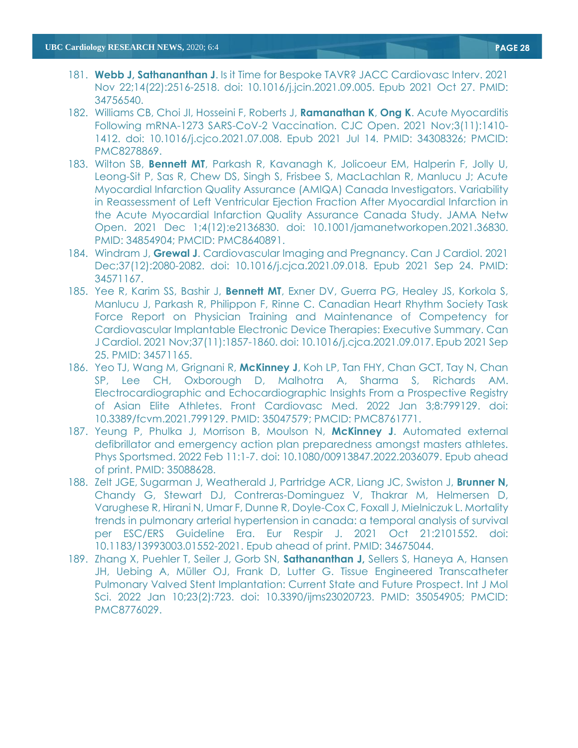- 181. **Webb J, Sathananthan J**. Is it Time for Bespoke TAVR? JACC Cardiovasc Interv. 2021 Nov 22;14(22):2516-2518. doi: 10.1016/j.jcin.2021.09.005. Epub 2021 Oct 27. PMID: 34756540.
- 182. Williams CB, Choi JI, Hosseini F, Roberts J, **Ramanathan K**, **Ong K**. Acute Myocarditis Following mRNA-1273 SARS-CoV-2 Vaccination. CJC Open. 2021 Nov;3(11):1410- 1412. doi: 10.1016/j.cjco.2021.07.008. Epub 2021 Jul 14. PMID: 34308326; PMCID: PMC8278869.
- 183. Wilton SB, **Bennett MT**, Parkash R, Kavanagh K, Jolicoeur EM, Halperin F, Jolly U, Leong-Sit P, Sas R, Chew DS, Singh S, Frisbee S, MacLachlan R, Manlucu J; Acute Myocardial Infarction Quality Assurance (AMIQA) Canada Investigators. Variability in Reassessment of Left Ventricular Ejection Fraction After Myocardial Infarction in the Acute Myocardial Infarction Quality Assurance Canada Study. JAMA Netw Open. 2021 Dec 1;4(12):e2136830. doi: 10.1001/jamanetworkopen.2021.36830. PMID: 34854904; PMCID: PMC8640891.
- 184. Windram J, **Grewal J**. Cardiovascular Imaging and Pregnancy. Can J Cardiol. 2021 Dec;37(12):2080-2082. doi: 10.1016/j.cjca.2021.09.018. Epub 2021 Sep 24. PMID: 34571167.
- 185. Yee R, Karim SS, Bashir J, **Bennett MT**, Exner DV, Guerra PG, Healey JS, Korkola S, Manlucu J, Parkash R, Philippon F, Rinne C. Canadian Heart Rhythm Society Task Force Report on Physician Training and Maintenance of Competency for Cardiovascular Implantable Electronic Device Therapies: Executive Summary. Can J Cardiol. 2021 Nov;37(11):1857-1860. doi: 10.1016/j.cjca.2021.09.017. Epub 2021 Sep 25. PMID: 34571165.
- 186. Yeo TJ, Wang M, Grignani R, **McKinney J**, Koh LP, Tan FHY, Chan GCT, Tay N, Chan SP, Lee CH, Oxborough D, Malhotra A, Sharma S, Richards AM. Electrocardiographic and Echocardiographic Insights From a Prospective Registry of Asian Elite Athletes. Front Cardiovasc Med. 2022 Jan 3;8:799129. doi: 10.3389/fcvm.2021.799129. PMID: 35047579; PMCID: PMC8761771.
- 187. Yeung P, Phulka J, Morrison B, Moulson N, **McKinney J**. Automated external defibrillator and emergency action plan preparedness amongst masters athletes. Phys Sportsmed. 2022 Feb 11:1-7. doi: 10.1080/00913847.2022.2036079. Epub ahead of print. PMID: 35088628.
- 188. Zelt JGE, Sugarman J, Weatherald J, Partridge ACR, Liang JC, Swiston J, **Brunner N,** Chandy G, Stewart DJ, Contreras-Dominguez V, Thakrar M, Helmersen D, Varughese R, Hirani N, Umar F, Dunne R, Doyle-Cox C, Foxall J, Mielniczuk L. Mortality trends in pulmonary arterial hypertension in canada: a temporal analysis of survival per ESC/ERS Guideline Era. Eur Respir J. 2021 Oct 21:2101552. doi: 10.1183/13993003.01552-2021. Epub ahead of print. PMID: 34675044.
- 189. Zhang X, Puehler T, Seiler J, Gorb SN, **Sathananthan J,** Sellers S, Haneya A, Hansen JH, Uebing A, Müller OJ, Frank D, Lutter G. Tissue Engineered Transcatheter Pulmonary Valved Stent Implantation: Current State and Future Prospect. Int J Mol Sci. 2022 Jan 10;23(2):723. doi: 10.3390/ijms23020723. PMID: 35054905; PMCID: PMC8776029.